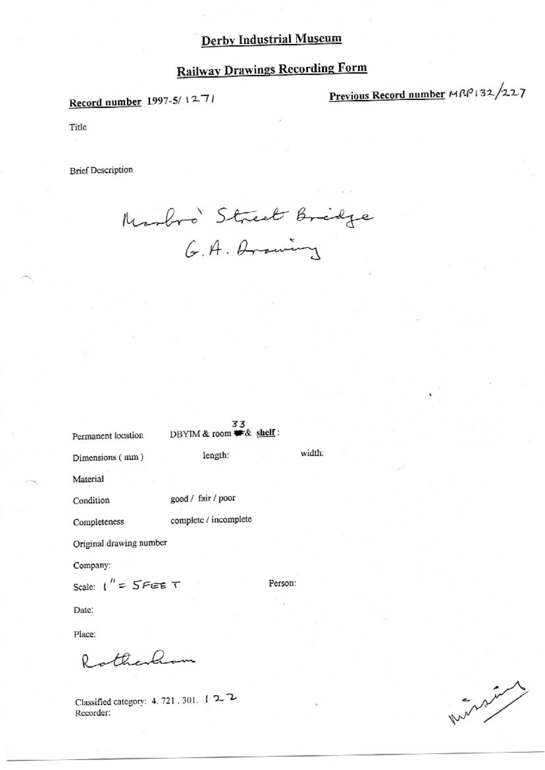Record number 1997-5/1271

Previous Record number MRP132/227

Title

**Brief Description** 

Marbos Street Bridge

Permanent location

33 DBYIM & room \* & shelf:

width:

Person:

Dimensions (mm)

Material

good / fair / poor Condition

Completeness

complete / incomplete

length:

Original drawing number

Company:

Scale:  $1'' = 5$ FEE T

Date:

Place:

otherhom

Classified category: 4, 721, 301, 122 Recorder:

What -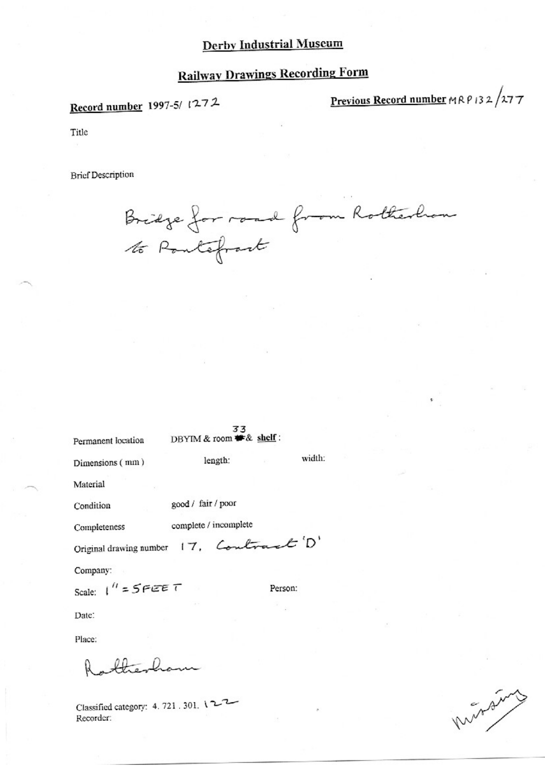# **Railway Drawings Recording Form**

Record number 1997-5/1272

Previous Record number  $MRP132/277$ 

Title

**Brief Description** 

Bridge for road from Rotherhom<br>10 Pontefrant

| Permanent location                      | 33<br>DBYIM & room # & shelf: |         |  |
|-----------------------------------------|-------------------------------|---------|--|
| Dimensions (mm)                         | length:                       | width:  |  |
| Material                                |                               |         |  |
| Condition                               | good / fair / poor            |         |  |
| Completeness                            | complete / incomplete         |         |  |
| Original drawing number 17, Contract D' |                               |         |  |
| Company:                                |                               |         |  |
| Scale: $1'' = 5FEET$                    |                               | Person: |  |
| Date:                                   |                               |         |  |
|                                         |                               |         |  |

Place:

 $\sqrt{2}$ 

Classified category: 4, 721, 301, 122 Recorder:

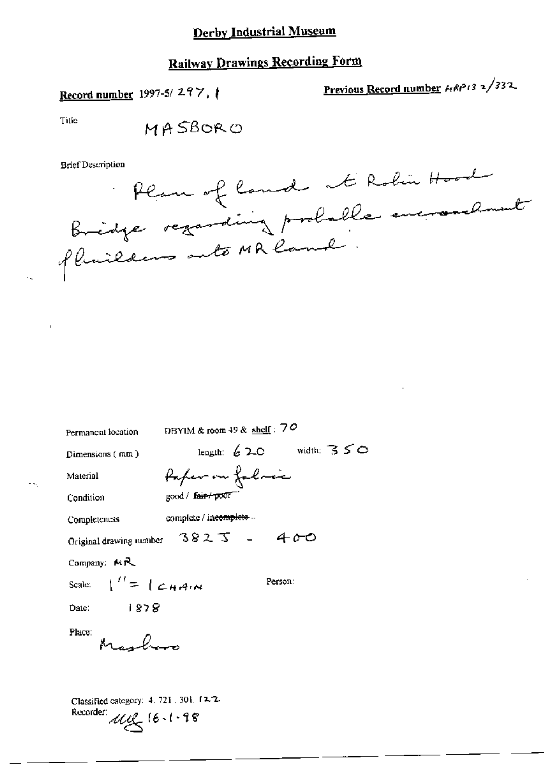# **Railway Drawings Recording Form**

# Record number 1997-5/297,

Previous Record number  $HRP/3$  2/332

Title



| Permanent location                                                       | DBYIM & room 49 & shelf: $70$ |                            |  |
|--------------------------------------------------------------------------|-------------------------------|----------------------------|--|
| Dimensions (mm)                                                          |                               | length: $620$ width: $350$ |  |
| Material                                                                 | fafer on falmic               |                            |  |
| Condition                                                                | good / fair+poor              |                            |  |
| Completeness                                                             | complete / incompleto         |                            |  |
| Original drawing number $3823 - 400$                                     |                               |                            |  |
| Company: MR                                                              |                               |                            |  |
| Scale: $\binom{12}{5}$ $\binom{24}{4}$                                   |                               | Person:                    |  |
| 1878<br>Date:                                                            |                               |                            |  |
| Place:<br>$\mathbb{M}$ , $\mathbb{Q}_{\alpha}$ -                         |                               |                            |  |
| Classified category: 4, 721, 301, 12-2.<br>Recorder:<br>$442 (6 - 1.98)$ |                               |                            |  |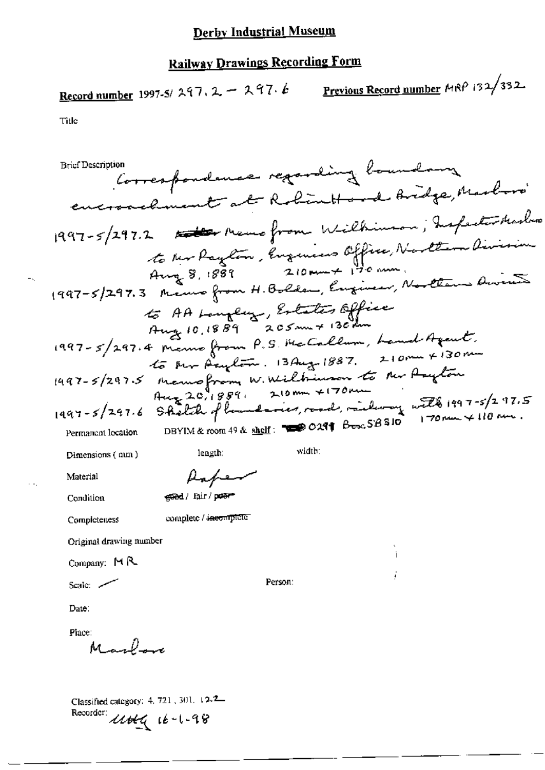Record number 1997-5/297.2 - 297.6 Previous Record number MRP 132/332.

Title

Correspondence regarding boundary **Brief Description** encronclinent at Robinttond Bridge, Marbori 1997-5/297.2 Att Memo from Wilkinson, Inspectively to Mr Paylon, Engenieurs Office, Northin Division to AA Longley, Estates Office 1997-5/297.4 Manno from P.S. Ha Callum, Land Agent,<br>1997-5/297.4 Manno from P.S. Ha Callum, Land Agent,<br>1997-5/297.5 Manno from W. Willminson to New Anyton<br>1997-5/297.5 Manno from W. Willminson to New Anyton<br>1997-5/297.6 width: length: Dimensions (nm) Paper Material geed/ fair/poem Condition complete / incomplete Completeness Original drawing number Company:  $M$   $R$ Person: Scale: 2 Date: Place: Marlon Classified category: 4, 721, 301, 12-2-

Recorder: Uttly 16-1-98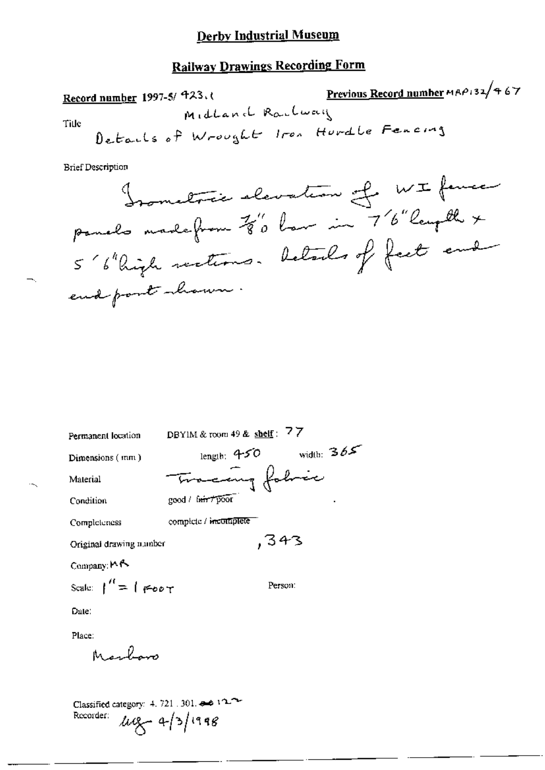# **Railway Drawings Recording Form**

 $\bullet$ 

**Brief Description** 

\n**James Theorem 76.24 per** \n 
$$
\mu
$$
 = 76.24 per

\n\n 5.6.24 per

\n\n 5.6.24 per

\n\n 6.24 per

\n\n 7.6.24 per

\n\n 8.6 2.44 per

\n\n 1.6 2.44 per

\n\n 1.6 2.44 per

\n\n 1.6 2.44 per

\n\n 1.6 2.44 per

\n\n 1.6 2.44 per

\n\n 1.6 2.44 per

\n\n 1.6 2.44 per

\n\n 1.6 2.44 per

\n\n 1.6 2.44 per

\n\n 1.6 2.44 per

\n\n 1.6 2.44 per

\n\n 1.6 2.44 per

\n\n 1.6 2.44 per

\n\n 1.6 2.44 per

\n\n 1.6 2.44 per

\n\n 1.6 2.44 per

\n\n 1.6 2.44 per

\n\n 1.6 2.44 per

\n\n 1.6 2.44 per

\n\n 1.6 2.44 per

\n\n 1.6 2.44 per

\n\n 1.6 2.44 per

\n\n 1.6 2.44 per

\n\n 1.6 2.44 per

\n\n 1.6 2.44 per

\n\n 1.6 2.44 per

\n\n 1.6 2.44 per

\n\n 1.6 2.44 per

\n\n 1.6 2.44 per

\n\n 1.6 2.44 per

\n\n 1.6 2.44 per

\n\n 1.6 2.44 per

\n\n 1.6 2.44 per

\n\n 1.6 2.44 per

\n\n 1.6 2.44 per

\n\n 1.6 2.4

DBYIM & room 49 & shelf:  $77$ Permanent location length:  $450$  width:  $365$ Dimensions (mm) ing fobric Material mo-c good / fair / poor Condition complete / incomplete Completeness  $, 343$ Original drawing number Company: MA Scale:  $\int_1^R = \int$  FORT Person:

Date:

Place:

Marlon

Classified category:  $4, 721, 301$ , and  $122$  $\mu q - 4/3/1998$ Recorder: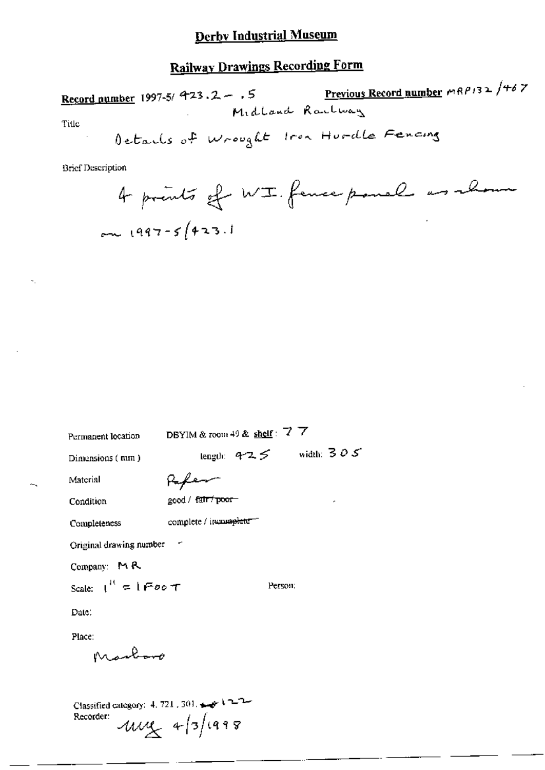# **Railway Drawings Recording Form**

Record number 1997-5/ 423.2 - .5<br>Midland Rantway Title Details of wrought from Hurdle Fencing

| Permanent location                                                          |                        | DBYIM & room 49 & shelf: $7\,7$ |                            |
|-----------------------------------------------------------------------------|------------------------|---------------------------------|----------------------------|
| Dimensions (mm)                                                             |                        |                                 | length: $425$ width: $305$ |
| Material                                                                    | عهيها                  |                                 |                            |
| Condition                                                                   | good / fair / poor-    |                                 |                            |
| Completeness                                                                | complete / incomplete= |                                 |                            |
| Original drawing number                                                     |                        |                                 |                            |
| Company: MR                                                                 |                        |                                 |                            |
| Scale: $1^{11} = 1$ Foo T                                                   |                        | Person:                         |                            |
| Date:                                                                       |                        |                                 |                            |
| Place:                                                                      |                        |                                 |                            |
| Marcons                                                                     |                        |                                 |                            |
|                                                                             |                        |                                 |                            |
| Classified category: $4.721$ , $301$ , $\rightarrow$ $1 - 1 -$<br>Recorder: | $-41448$               |                                 |                            |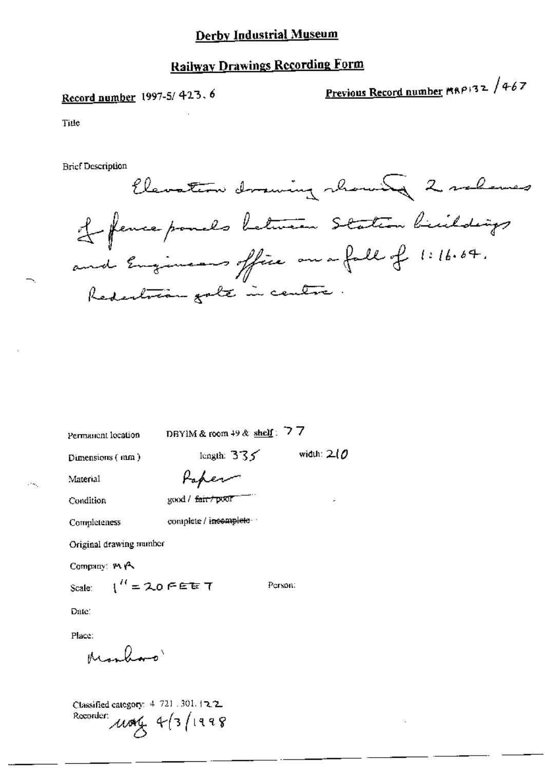## **Railway Drawings Recording Form**

# Record number 1997-5/423.6

Previous Record number MRP132 /467

Title

**Brief Description** 



Permanent location

DBYIM & room 49 & shelf:  $77$ 

Dimensions (mm)

length:  $335$  width:  $20$ 

Person:

Material Condition

|  | eard / <del>fair / D</del> OOF |
|--|--------------------------------|

Paper

complete / incomplete

Completeness

Original drawing mumber

Company: MA

Scale:  $1'' = 20$  FEE T

Date:

Place:

Marlan'

Classified category: 4-721 .301.12.2 Recorder:  $\mu$  and  $4/3/1998$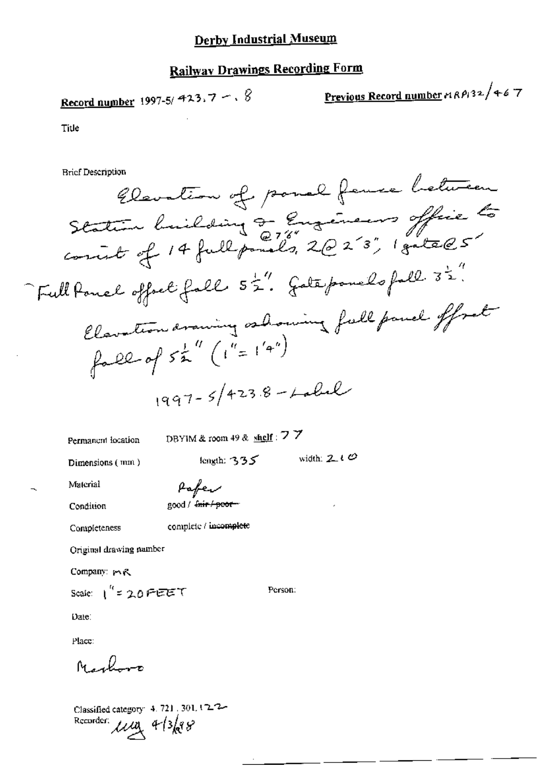# **Railway Drawings Recording Form**

**Record number** 1997-5/ 
$$
423.7 - 6
$$

Previous Record number 
$$
nR\ell/32/46
$$
 7

 $\theta$  a

Title

**Brief Description** 

Permanent location

DBYIM & room 49 & shelf:  $77$ 

Dimensions (mm)

length:  $335$  width:  $210$ 

Person:

Δ

Material

Pafer good / fnir / poor-

Condition

Completeness

complete / incomplete

Original drawing namber

Company: mR

Scale:  $1^{4}$  = 20 FEET

Date:

Place:

Narboro

Classified category: 4, 721, 301, 12-2-Recorder:  $\mu_{\mathcal{A}}$  4/3/88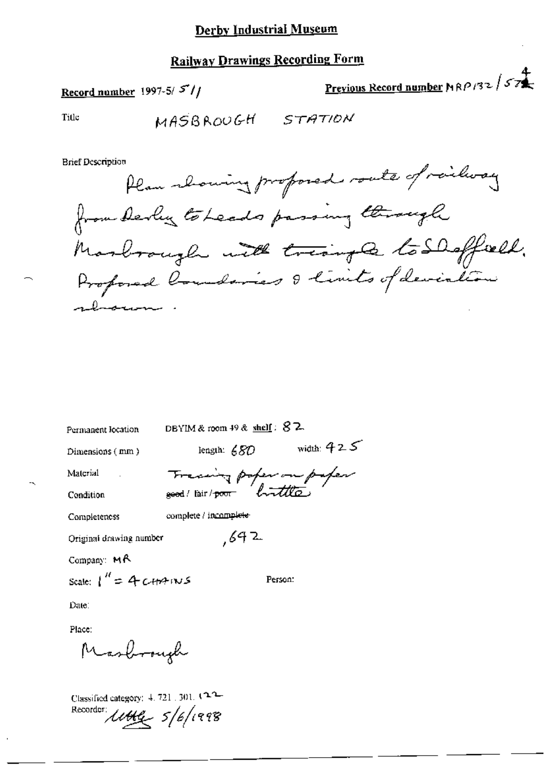# **Railway Drawings Recording Form**

Record number 1997-5/ $5'/$ 

Previous Record number MRP 132 / 57

Title

MASBROUGH STATION

**Brief Description** 

Plan showing proposed route of railway from derly to Leads passing through Marbrough with triangle to Shaffield.

| Permanent location       | DBYIM&room 49& shelf: × ム |              |
|--------------------------|---------------------------|--------------|
| Dimensions (mm)          | length: 680               | width: $425$ |
| Material                 | Francing poper on paper   |              |
| Condition                |                           |              |
| Completeness             | complete / incomplete     |              |
| Original drawing number  | ,692                      |              |
| Company: $M \wedge$      |                           |              |
| Scale: $1'' = 4$ CHM INS |                           | Person:      |
| Date:                    |                           |              |
| Place:                   |                           |              |
| Masbrough                |                           |              |
|                          |                           |              |

Classified category:  $4.721$  ,  $301$ .  $(22)$ Recorder:  $1144 - 5/6/1998$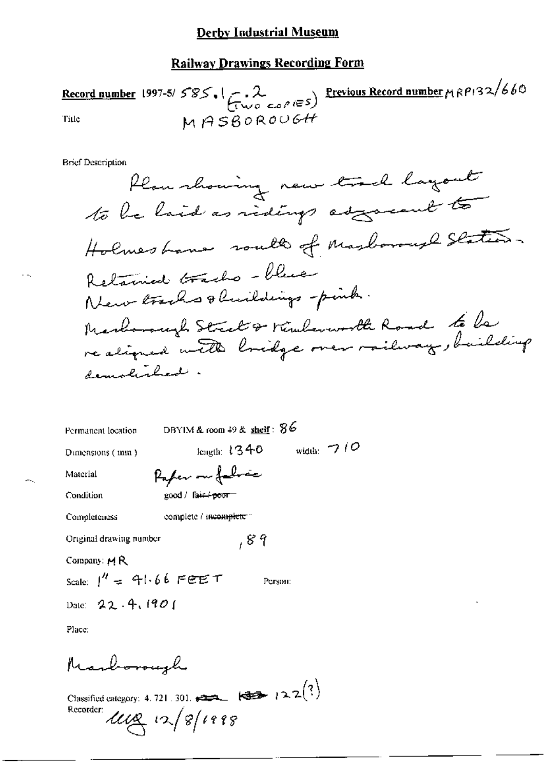## **Railway Drawings Recording Form**

Record number 1997-5/  $585.1$   $\left(\frac{2}{1100}$   $\cos \theta$  i= 5) Previous Record number  $\mu$  RPI32/660 MASBOROUGH Title

**Brief Description** 

DBYIM & room  $49$  & shelf:  $86$ Permanent location length:  $1340$  width:  $7/0$ Dimensions (mm) Paper on folio Material good / fair-+poor-Condition complete / incomplete " Completeness  $, 8.9$ Original drawing number Company: MR Scale:  $1'' = 41.66$  FEET Person: Date: 22.4, 1901 Place: Marborough

Classified category: 4.721.301.  $\overline{222}$   $\overline{323}$   $\overline{22}$   $\overline{2}$   $\overline{2}$   $\overline{2}$   $\overline{2}$   $\overline{2}$ Recorder:  $\mu_{\alpha}$   $\propto$   $s$  /1998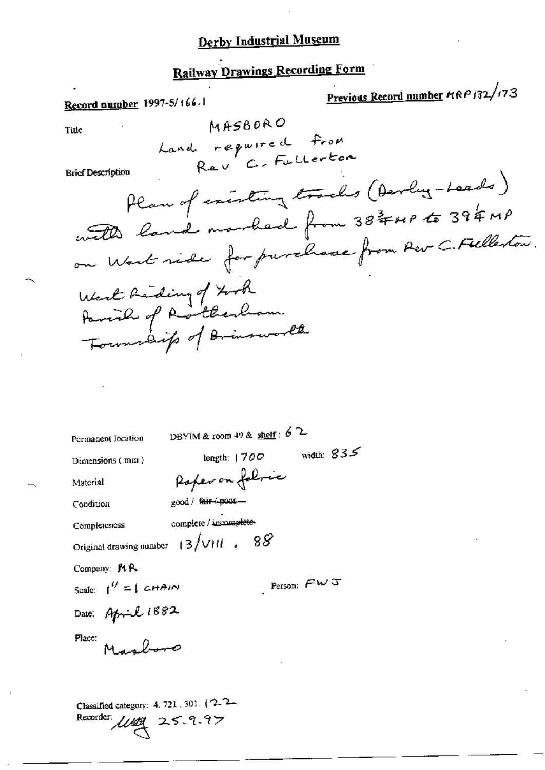# Railway Drawings Recording Form

Previous Record number MRP 132/173 Record number 1997-5/166.1 MASBORO Title Land required from Rev C. Fullerton **Brief Description** Plan of inisting tracks (Devly-Leads) with land marbach from 38 FMP to 39 & MP on West ride for purchase from Rev C. Fielleston. West Reding of Forth<br>Parcial of Rotherlam<br>Formalite of Brimsworth DBYIM & room 49 & shelf :  $62$ Permanent location width:  $835$ length:  $1700$ Dimensions (mm) Poper on followic Material good / fair + poor-Condition complete / incomplete-Completeness Original drawing number  $+3$  /VHI . 88 Company: MR Person:  $\mathcal{F} \mathcal{W} \mathcal{T}$ Scale:  $\int_0^{ij} f(t) dt d\theta$ 

Date: April 1882

Place:

Machoo

Classified category: 4, 721, 301, (2, 2, Recorder:  $\mu_{\mathcal{A}}$  25.9.97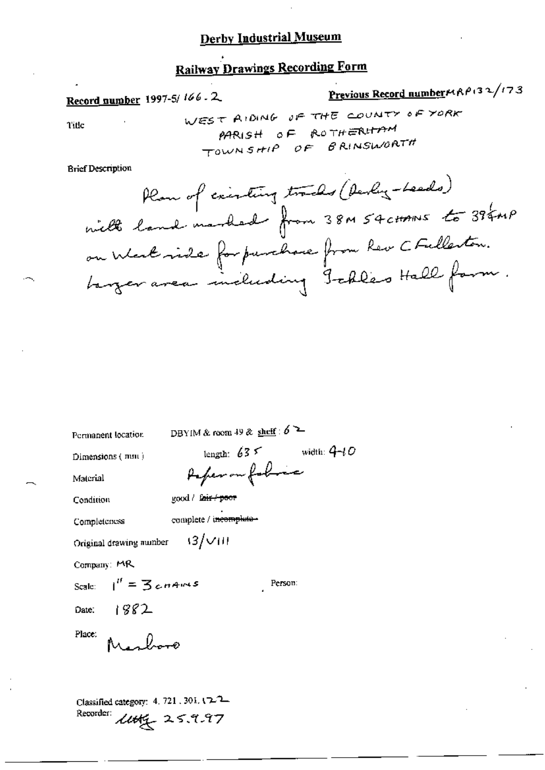# **Railway Drawings Recording Form**

# Record number 1997-5/166.2

Title

**Previous Record number**
$$
\mu
$$
<sub>0</sub> (32/173

 $\mathcal{L}$ 

**Brief Description** 

Permanent location

DBYIM & room 49 & shelf :  $6$  2

 $\mathop{\rm Dimensions}$  (  $\mathop{\rm min}$  )

Condition

Material

good / fair / poor

complete / incomplete-Completeness

 $(3/\sqrt{11})$ Original drawing number

 $I'' = 3$ cnams

Company: MR

Scale:

Person:

1882 Date:

alvoro Place:

Classified category: 4, 721, 301, 122 Recorder: Lutter 25.9.97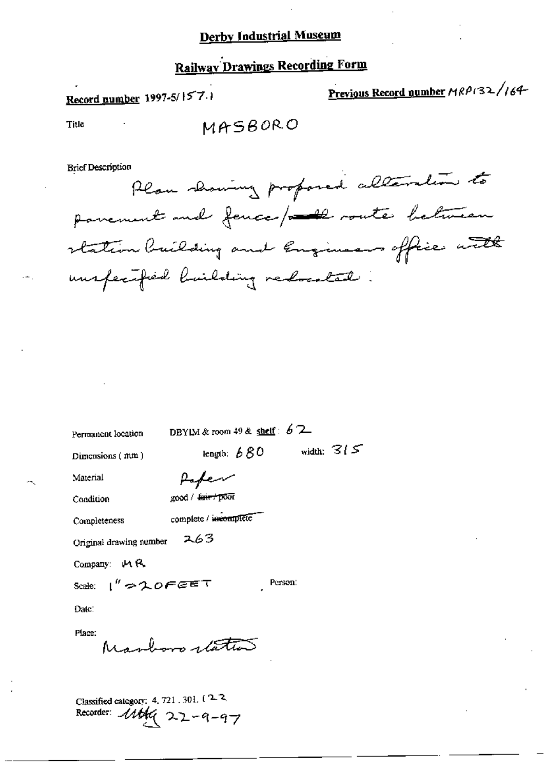# **Railway Drawings Recording Form**

Record number 1997-5/157.1

Previous Record number MRP132/164-

Title

MASBORO

**Brief Description** 

Plan showing proposed alteration to parement and fence / 20 route between station building and Engineers office with unspecified building redocated:

Permanent location

DBYIM & room 49 & shelf:  $62$ 

Dimensions  $(mm)$ 

length:  $680$  width:  $315$ 

Material Condition

Completeness

good / <del>fair /</del> poor

complete / incomplete

Paper

263 Original drawing number

Company: MR

Scale:  $1''$  = 20FEET

Person:

Date:

Place:

Marboro status

Classified category: 4, 721, 301, 122 Recorder: 11th 22-9-97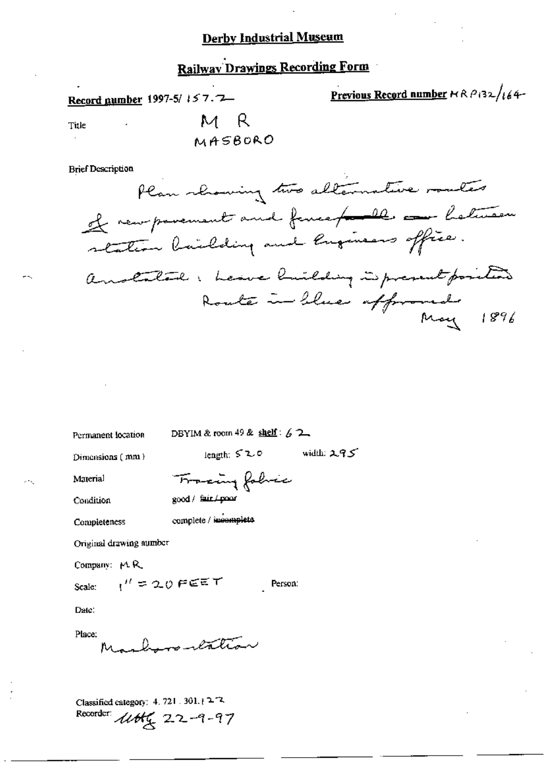## **Railway Drawings Recording Form**

Record gumber 1997-5/157.7-

Previous Record number  $R$   $R$   $\beta$  (32/164-

Title

M R MASBORO

**Brief Description** 

Plan showing two alternative meters of new parement and fence for the one helicen station bailding and laques office. anotated: Leave building is present position Route in Llue affromed

Permanent location

DBYIM & room 49 & shelf:  $62$ 

Dimensions (mm)

length: 520 width: 295

Person:

Material Condition Francing fabric good / fair./ poor

Completeness

complete / incomplete

Original drawing number

Company: MR

Scale:

Date:

Place:

chargemention

 $t''$  = 20 FEET

Classified category:  $4.721.301.1272$ Recorder: 11th 4 22-9-97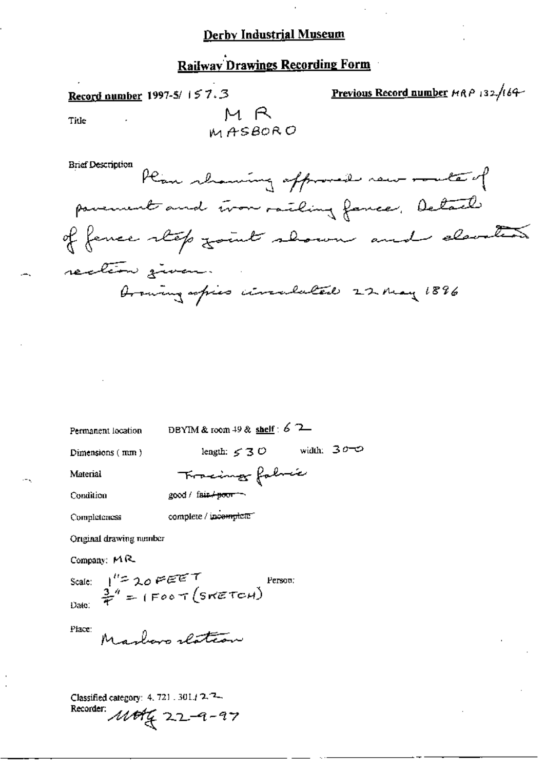## **Railway Drawings Recording Form**

Previous Record number HRP 132/164-Record number 1997-5/157.3 M R Title M ASBOR O

**Brief Description** Plan showing affromed new route of povement and tron railing fance, Detail of fence step joint shown and elevation rection given Drawing sofies circulated 22 may 1896

Permanent location

DBYIM & room 49 & shelf:  $6$  2

Dimensions (mm)

length:  $\leq 30$  width:  $300$ 

Person:

Material

Fracing fabric good / fair / poor ~

Condition

complete / incomplete

Original drawing number

Company:  $MR$ 

Completeness

Scale:  $1^{\prime\prime}=20$  FEET<br>Date:  $\frac{3}{7}$ <sup>4</sup> = (Foot (SWETCH)

Place:

Maybaro slation

Classified category: 4, 721, 301.12.2-Recorder: 11694 22-9-97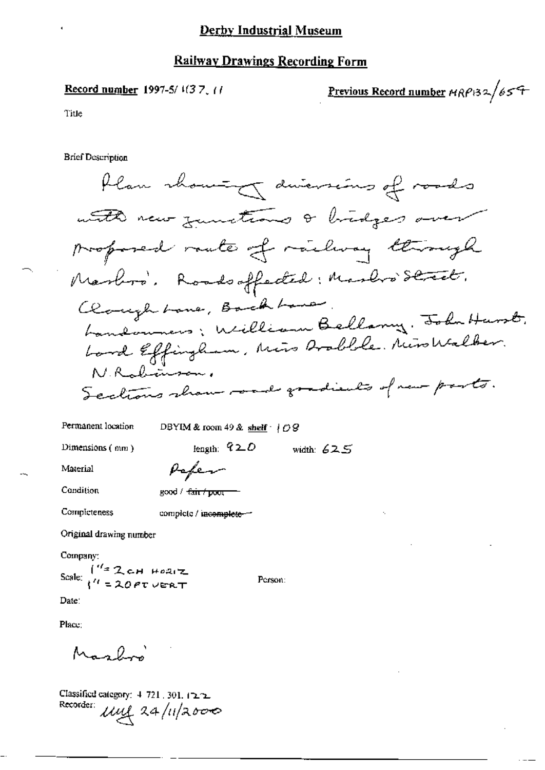#### **Railway Drawings Recording Form**

#### Record number 1997-5/ $1(37, 1)$

<u>Previous Record number</u>  $HRP$ 132/65<sup>4</sup>

Title

**Brief Description** 

Plan showing diversions of roads with new junctions & bridges over proposed raute of railway through Marbos, Roadsoffeded: Marbos Street. Claughtone, Backbane. Landonners; William Bellany, John Hurst, Lord Effingham, Miss Brobble. Nicollaber. NRabinson, Sections show road gradients of new ports.

Permanent location

DBYIM & room 49 & shelf  $\cdot$  |  $\angle$  8

Dimensions  $($   $n n)$ 

length:  $620$ width:  $625$ 

Person:

Material

Pefer

Condition

good / <del>fair / poor</del>

Completeness

complete / incomplete-

Original drawing number

Company:

Scale:  $\int_{0}^{t/2} 2 \text{cH}$  HORIZ

Date:

Place:

Maghi

Classified category:  $4, 721, 301, 12.2$ Recorder: Mul 24/11/2000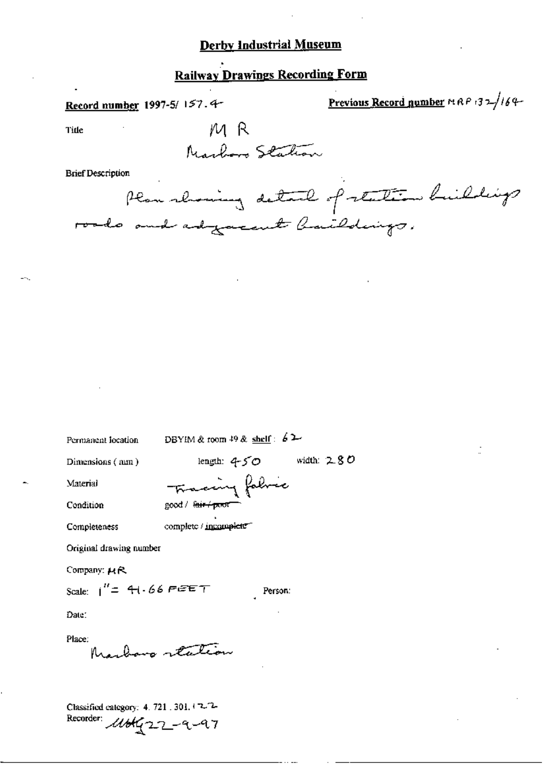# **Railway Drawings Recording Form**

Record number 1997-5/157.4-

Previous Record number MRP 132/164-

Title

M R Marboro Station

#### **Brief Description**

Plan showing detail of station buildings roads and adjacent baildings.

Permanent location

DBYIM & room 49 & shelf:  $62$ 

Dimensions (mm)

length:  $4-50$ width:  $2.80$ 

Condition

Material

Fracing fabric good / <del>fair / poor</del>

complete / incomplete

Completeness

Original drawing number

Company: HR

Scale:  $1''=41.66$  PEET

Person:

Date:

Place:

Marbona realion

Classified category: 4. 721 . 301. 12. 2-Recorder: 11blg22-9-97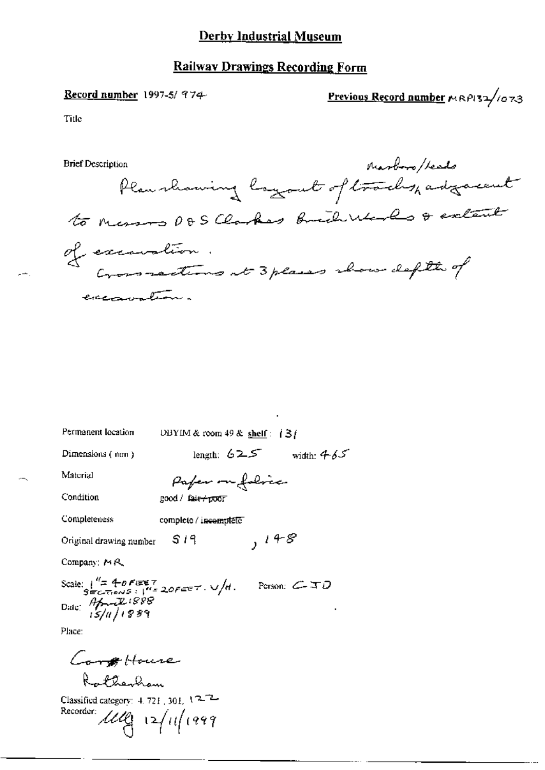### **Railway Drawings Recording Form**

#### Record number 1997-5/  $974$

Previous Record number MRP132/1073

Title

 $-1$ 

**Brief Description** 

Marboro/Leeds Plan rhaming layout of tracks, adjacent to nessos DDS Clarkes Brich Works & extent of execution.<br>Crossections at 3 places about defth of excavation.

Permanent location

DBYIM & room 49 & shelf:  $\frac{13}{15}$ 

Dimensions (nm)

length:  $625$  width:  $465$ 

Material

Pafer on folice good / fair+poor

Condition

Completeness complete / incomplete

 $, 148$ S 19 Original drawing number

Company: MR

Scale:  $\int_{S=CT\text{max}}^{U=40} \frac{40FET}{15/4}$ <br>  $\int_{B=CT\text{max}}^{U=40} \frac{10585}{15/4}$ Person:  $\mathcal{L}$   $\mathcal{ID}$ 

Place:

Conflouse Rathanhom

Classified category:  $4.721 \cdot 301$ ,  $12^{-2}$ Recorder:  $119$  12/11/1999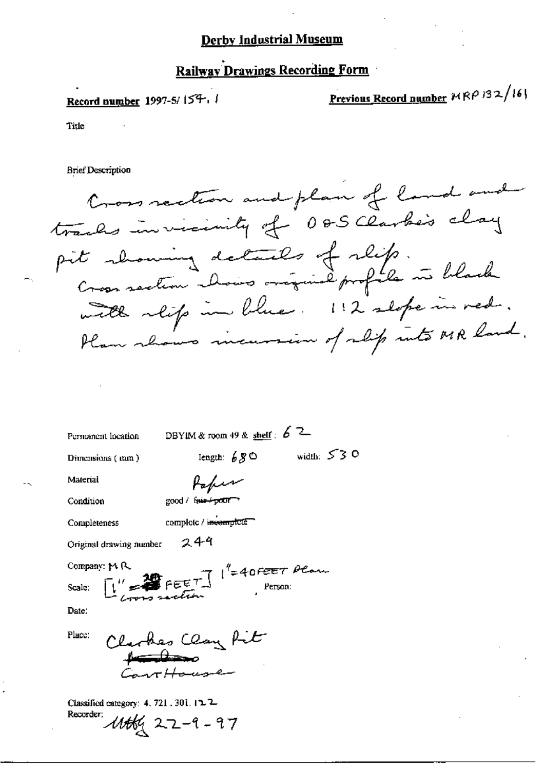## Railway Drawings Recording Form

## Record number 1997-5/154.

Previous Record number MRP 132/161

Title

**Brief Description** 

Cross section and plan of land and tracks invicinity of 085 clarke's clay pit showing details of slip.<br>Cross section choirs original profile in black with reifs in blue. 112 slope in red. Plan rhows incurrin of slip into MR land.

Permanent location

DBYIM & room 49 & shelf:  $62$ 

Dimensions (mm)

width:  $530$ Iength:  $68^\circ$ 

Material

Paper

good / fair+poor

Condition

Completeness

complete / incomplete

249 Original drawing number  $FEET$   $\frac{1}{2}$  + 40FEET Plan

Company: MR

Scale:

Date:

Place:

Clarkes Clay fit ar Haceane

Classified category: 4, 721, 301,  $12-2$ Recorder: 1166g 22-9-97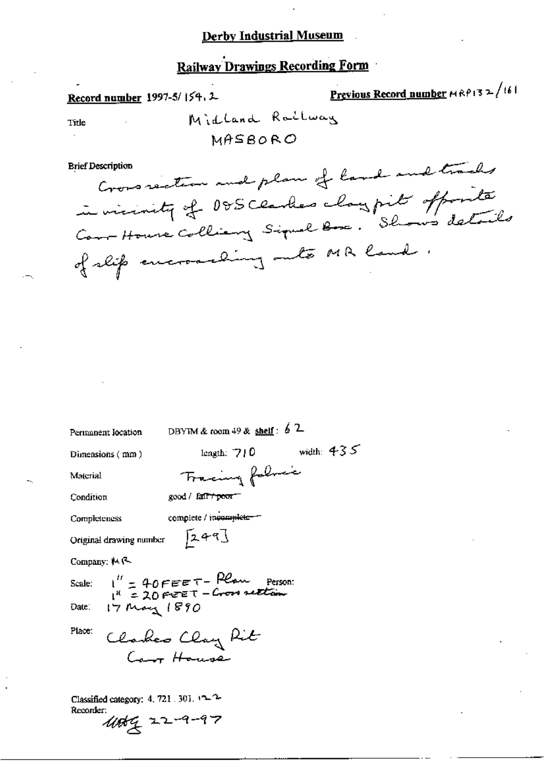## **Railway Drawings Recording Form**

Previous Record number  $MRP13 \ge 1/161$ 

Midland Railway Title MASRORO Cross rection and plan of land and tracks **Brief Description** in vicinity of DDS Clarkes claypits offorts Com-House Colliany Signal Box. Shows details of slip encroaching onto MR land. DBYIM & room 49 & shelf:  $62$ Permanent location width:  $435$ length:  $710$ Dimensions (mm) Tracing following Material good / fair+poor-Condition complete / incomplete-Completeness  $[249]$ Original drawing number Company: MR  $1'' = 40$ FEET-Plan Person:<br> $1'' = 20$ FEET-Cross section Scale:  $17 \text{mag} 1890$ Date: Place: Clarkes Clay Rit Caro House

Classified category: 4, 721 . 301.  $12.2$ Recorder: 11064 22-9-97

Record number 1997-5/154, 2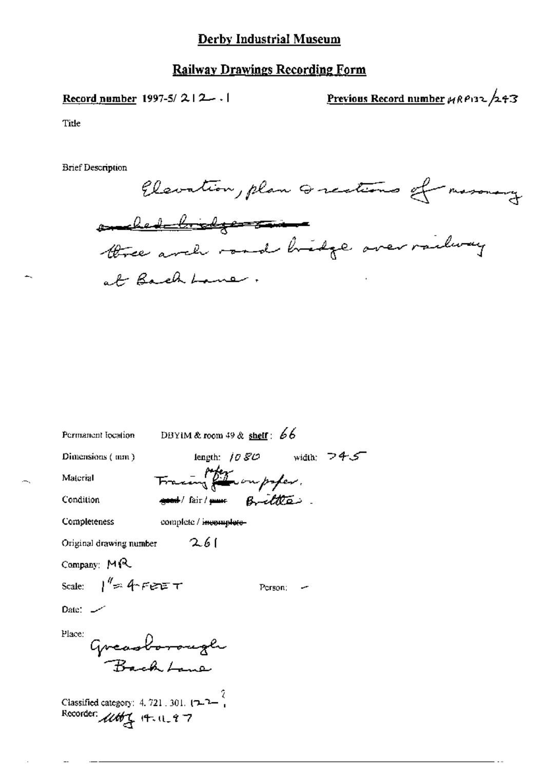## **Railway Drawings Recording Form**

Record number 1997-5/212 --

Previous Record number  $\mu$ RP132/243

Title

Elevation, plan Greations of masonary omeled bridge - Town three arch road bridge over railway at Bachbaner.

| Permanent location                                                                  |                        | DBYIM & room 49 & shelf: $66$ |  |
|-------------------------------------------------------------------------------------|------------------------|-------------------------------|--|
| Dimensions $($ mm $)$                                                               |                        | length: $1080$ width: $745$   |  |
| Material                                                                            |                        | Fracing the outpofer.         |  |
| Condition                                                                           |                        | and fair me Britter           |  |
| Completeness                                                                        | complete / incomplete- |                               |  |
| Original drawing number $2.61$                                                      |                        |                               |  |
| Company: MR                                                                         |                        |                               |  |
| Scale: $1^{\#}$ s: 4 FEET                                                           |                        | Person:                       |  |
| $Date:$ $-$                                                                         |                        |                               |  |
| Place:<br>Greasborough<br>Bach Lane                                                 |                        |                               |  |
| Classified category: 4, 721, 301, $(7-7-7)$<br>Recorder: 11th <sub>4</sub> 14.11.97 |                        |                               |  |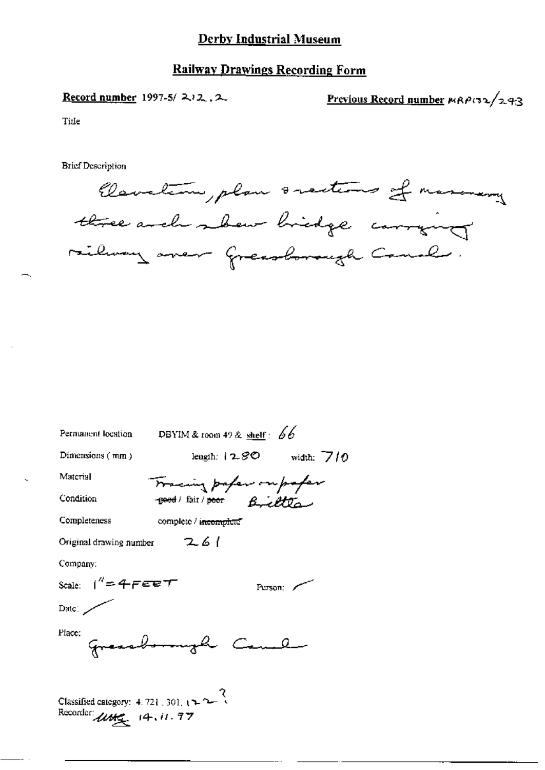## **Railway Drawings Recording Form**

Record number 1997-5/212, 2

Previous Record number MRP132/293

Title



| Permanent location                                                                           | DBYIM & room 49 & shelf: 66 |                  |
|----------------------------------------------------------------------------------------------|-----------------------------|------------------|
| Dimensions $(mn)$                                                                            | length: $\pm 2.8^\circ$     | width: $710$     |
| Material                                                                                     | Tracing paper ou paper      |                  |
| Condition                                                                                    | from B Afon                 |                  |
| Completeness                                                                                 | complete / incomplete       |                  |
| Original drawing number $26/$                                                                |                             |                  |
| Company:                                                                                     |                             |                  |
| Scale: ( $^{\prime\prime}$ =4 FEET                                                           |                             | Person: $\angle$ |
| Date: $\overline{\phantom{a}}$                                                               |                             |                  |
| Place:                                                                                       | gressborough Cambi          |                  |
| Classified category: 4.721, 301, $\left( -2 \right)$<br>Recorder $u$ <b>u</b> $\in$ 14.11.77 |                             |                  |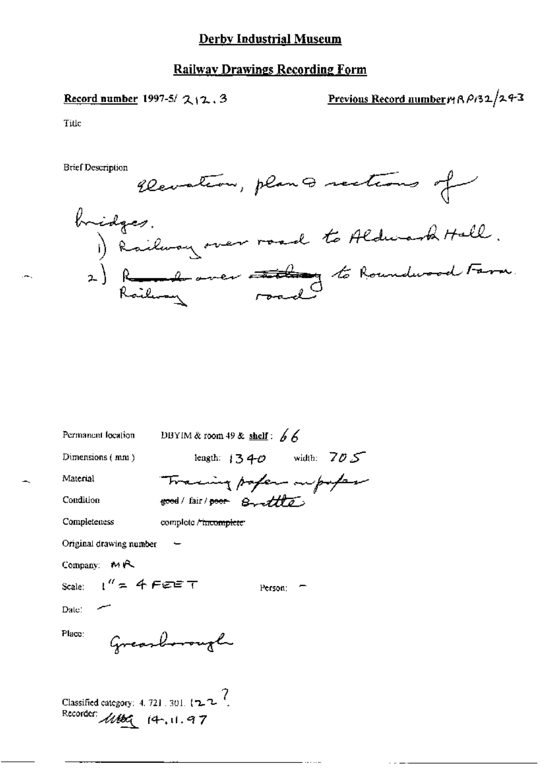## **Railway Drawings Recording Form**

Record number 1997-5/ $212.3$ 

Previous Record number 19 A A132/243

Title



| Permanent location                                                       | DBYIM & room 49 & shelf: $66$ |                             |  |
|--------------------------------------------------------------------------|-------------------------------|-----------------------------|--|
| Dimensions $(mn)$                                                        |                               | length: $1340$ width: $705$ |  |
| Material                                                                 |                               |                             |  |
| Condition                                                                | Training pofer oupofase       |                             |  |
| Completeness                                                             | complete / tircomplete        |                             |  |
| Original drawing number                                                  |                               |                             |  |
| Company: $M \uparrow \sim$                                               |                               |                             |  |
| Scale: $1'' = 4$ FEET                                                    |                               | Person:                     |  |
| Date: $\sim$                                                             |                               |                             |  |
| Place:                                                                   | Greathorough                  |                             |  |
| Classified category: 4, 721, 301, $\sqrt{2}$<br>Recorder: 1166 (4, 11.97 |                               |                             |  |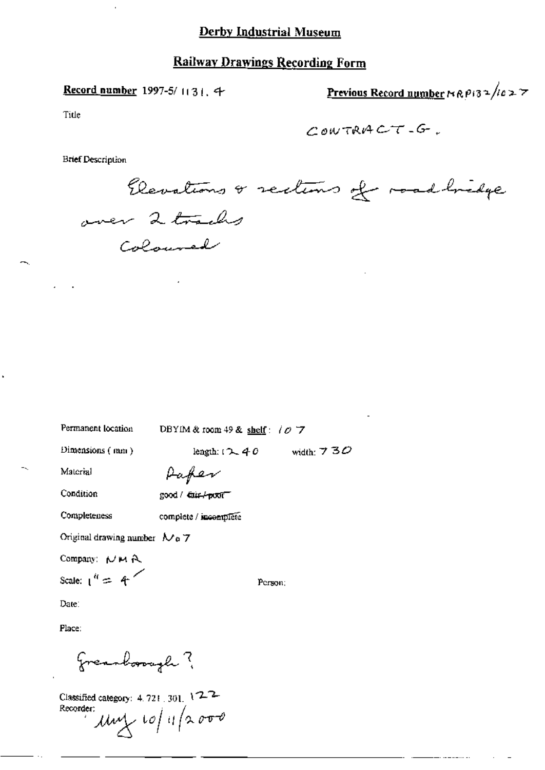### Record number 1997-5/1131. 4

Previous Record number NRP132/1027

Title

**Brief Description** 

Elevations & sections of road bridge over 2 tracks Coloured

Permanent location DBYIM & room 49 & shelf:  $\theta$  7

Dimensions (mm)

length:  $12.40$  width:  $730$ 

Aafer

Condition

Completeness

Material

good / dair-/-poxit"

complete / incomplete

Original drawing number  $N_0$  7

Company: NMA

Scale:  $1^{\prime\prime} = 4^{\prime\prime}$ 

Person:

Date:

Place:

Freashooper?

Classified category: 4.721.301. 122 Recorder:  $\mu$  $\sim 10/4$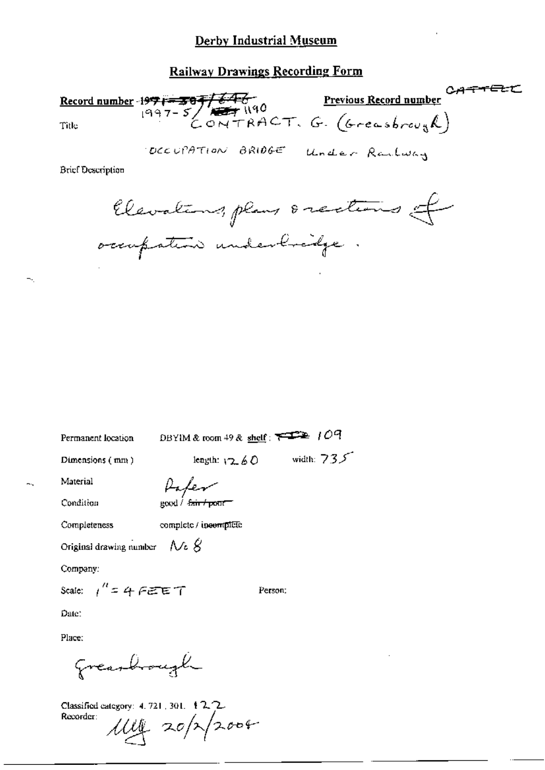## **Railway Drawings Recording Form**

Record number 1971-307/646<br>1997-5/77190 Previous Record number CATTELL<br>Previous Record number

DECUPATION BRIDGE Under Railway

**Brief Description** 

Clevations, plans orections of occupation underbreidge.

Permanent location

DBYIM & room 49 & shelf:  $\overline{\phantom{1}}$   $\overline{\phantom{1}}$  /  $\overline{Oq}$ 

Dimensions (mm)

length:  $12.60$  width:  $735$ 

Material

Paker good / fair / pour

Condition

Completeness complete / incomplete

Original drawing number  $\forall$  c  $\beta$ 

Company:

Scale:  $1'' = 4$   $F \in F$ 

Person;

Date:

Place:

Greathough

Classified category: 4, 721, 301, 12.2.  $1114$  20/2/2004 Recorder: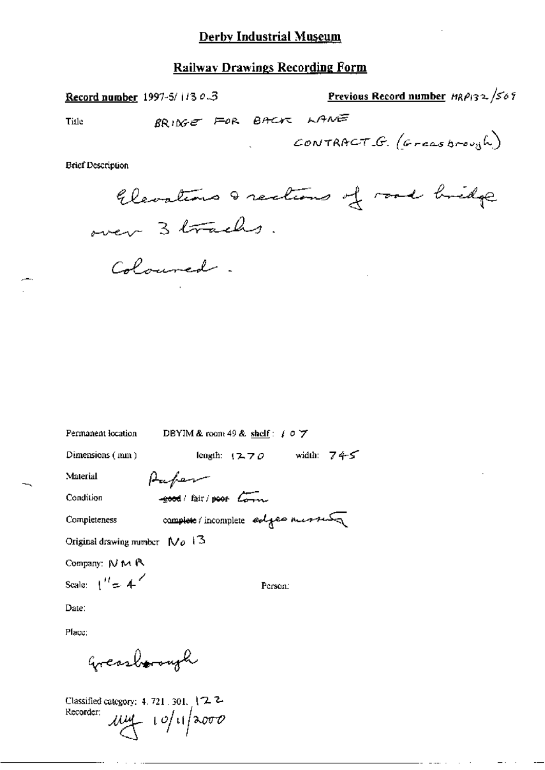Previous Record number  $H_R \rho_{13} \sim \sqrt{567}$ Record number 1997-5/1130.3 BRINGE FOR BACK LANE Title CONTRACT G. (Greatbrough)

**Brief Description** 

Elevations & rections of road bridge over 3 tracks.

DBYIM & room 49 & shelf:  $f \circ \forall$ Permanent location length:  $(270$  width:  $745$ Dimensions (mm) Aufer Material -good / fair / poor Corn Condition complete/incomplete edges messes Completeness Original drawing number  $N_0$  13 Company: N M R Scale:  $1'' = 4'$ Person: Date:

Coloured.

Place:

Greasborough

Classified category: 4, 721, 301, 122 Recorder:  $\frac{1}{4}$  10/11/2000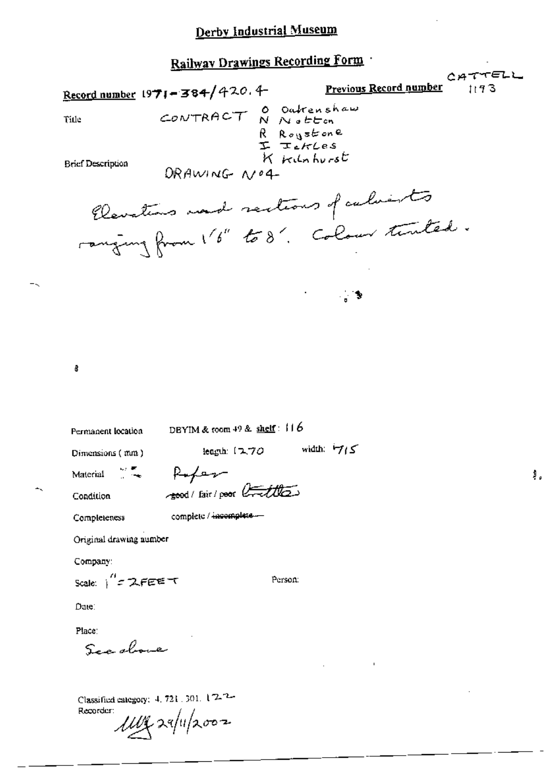CATTELL Previous Record number Record number  $1971 - 384/420.4$  $1193$ CONTRACT O Outrenshaw Title R Roystone<br>I IskLes<br>K Kilnhurst **Brief Description** DRAWING NO4 Clevations and sections of culvists ranging from 16" to 8". Colour timber. \_ \$ Ø. DBYIM & coom  $49$  & shelf:  $116$ Permanent location leagth (270 width: 715 Dimensions (mm) Rofer M. Material resort / Fair / poor Crettles Condition complete / incomplete .... Completeness Original drawing number Company: Scale:  $1'' = 2.55557$ Person: Date: Place: See above

非。

Classified category: 4, 721, 301, 1/2-2-Recorder: un rapilzoon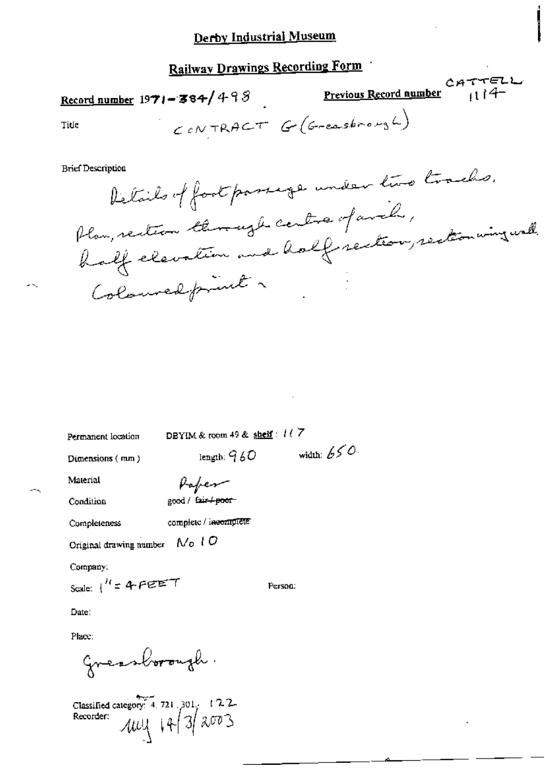# **Railway Drawings Recording Form**

Record number  $1971 - 384/498$ 

Previous Record number  $(114 -$ 

CATTELL

Title

CONTRACT G (Greathrough)

**Brief Description** 

Details of foot passage under two tracks. Plan, rection through centre of anch, half elevation and half rection, restorming wall. Coloured friend a

Permanent location

DBYIM & room 49 & shelf:  $117$ 

Dimensions (mm)

length:  $960$ 

width:  $650$ 

Person:

Paper good / fair+poor

Condition

Material

complete / incomplete Completeness

Original drawing number  $N_0$   $l$   $O$ 

Company.

Scale:  $1^{H}$  = 4 PEET

Date:

Place:

Greenborough.

Classified category: 4.721.301. 122.<br>Recorder:  $\mathcal{UU}$  |  $| + | 3 | 300$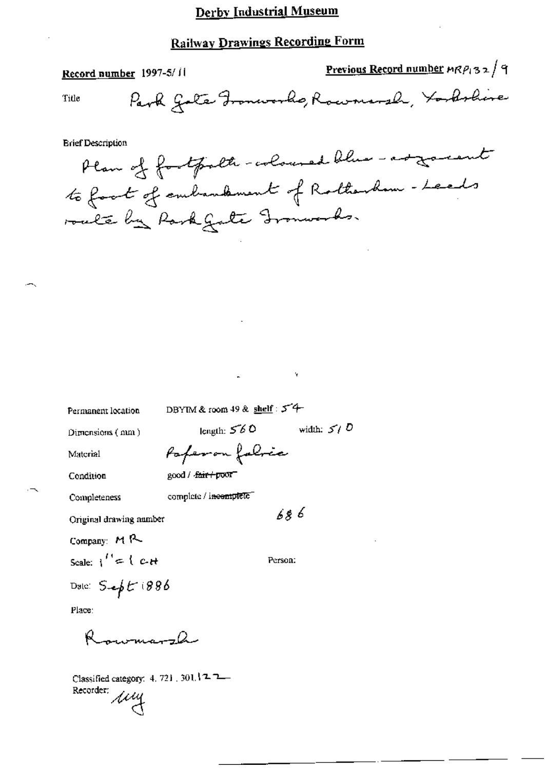# **Railway Drawings Recording Form**

|       | Record number 1997-5/11                  | <b>Previous Record number <math>mP_132</math> 4</b> |  |
|-------|------------------------------------------|-----------------------------------------------------|--|
| Title | Park Gotte Fronworks, Rowmand, Yorkshire |                                                     |  |

**Brief Description** 

Plan of fortpolte-coloured blue - as garent to fact of embandment of Rotherham - Leads roale by Rask Gate Gronwoods.

Permanent location

DBYIM & room 49 & shelf:  $5^{\degree}$  +

length:  $560$ 

Dimensions (mm)

Paperon folice

good / <del>fair / poor</del>

Condition

Material

complete / incomplete Completeness

686

width:  $5/5$ 

Original drawing number

Company: MR

Scale:  $1'' = 1$  c-H

Person:

Date:  $S = \oint E(886$ 

Place:

rwmarzh

Classified category: 4, 721, 301.122-Class...<br>Recorder: *ALLY*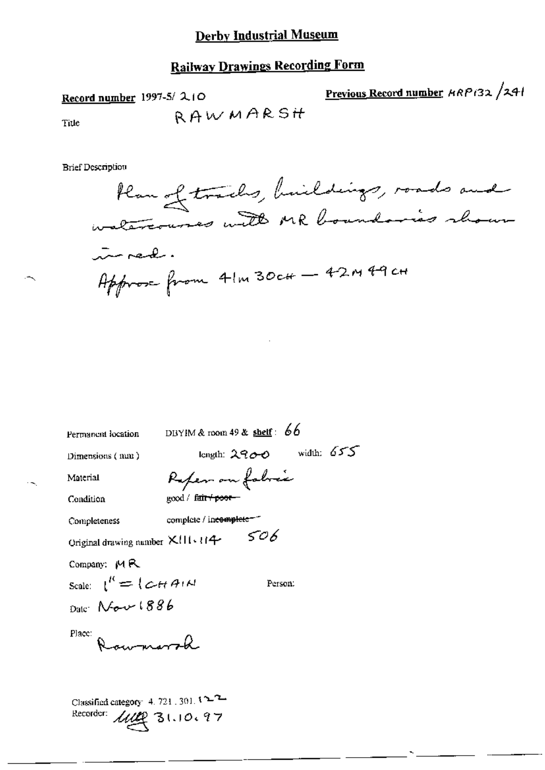## Railway Drawings Recording Form

Record number 1997-5/ 2.10 Previous Record number  $\mu$ m $P$ (32 /241

Title RAWMARSH

British Multistrian Museum<br>British Participal Previous Record number 4RP132/25<br>RAWMARSH<br>Brief Description<br>Plan of tracks, huildings, roads and  $\sim$ near. Approx from  $4!m30c#$  -  $42m49c#$ 

| Permanent location                                                   | DBYIM & room 49 & shelf: $66$         |
|----------------------------------------------------------------------|---------------------------------------|
| Dimensions (mm)                                                      | width: $655$<br>length: 2900          |
| Material                                                             | Refer on fabric                       |
| Condition                                                            | good / f <del>air / poor -</del>      |
| Completeness                                                         | complete / in <del>complete =</del> 1 |
| Original drawing number XIII+114                                     | 506                                   |
| Company: MR                                                          |                                       |
| Scale: $1^R = \{ \mathcal{L} \cup \mathcal{H} A \cup \mathcal{N} \}$ | Person:                               |
| $_{\text{Date}}$ Nev $1886$                                          |                                       |
| Place:<br>Rawmorah                                                   |                                       |
|                                                                      |                                       |
|                                                                      |                                       |
| Classified category: 4, 721, 301, 122                                |                                       |
| Recorder:                                                            | 1112 31.10.97                         |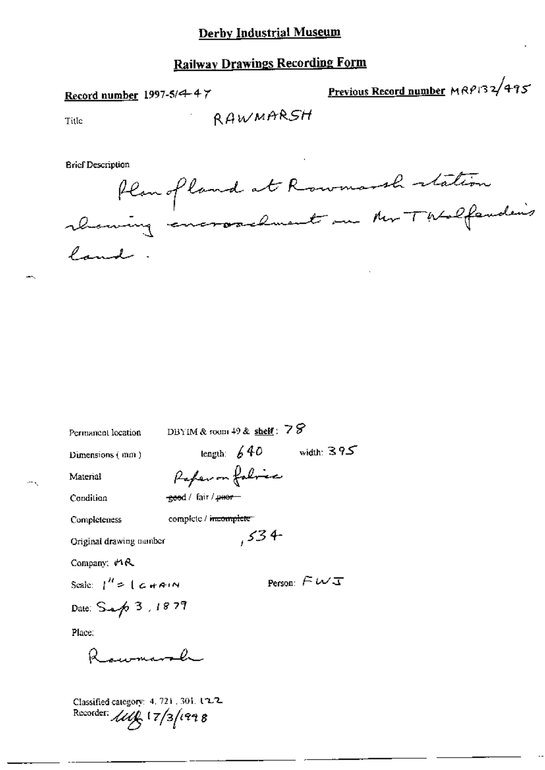# **Railway Drawings Recording Form**

Record number 1997-5/4-47

Previous Record number MRP132/495

Title

**Brief Description** 

flangland at Rowmarsh station land.

| Permanent location                         |                                 | DBYIM & room $49$ & shelf: $78$ |                            |
|--------------------------------------------|---------------------------------|---------------------------------|----------------------------|
| Dimensions (mm)                            |                                 | length: $640$                   | width: $395$               |
| Material                                   | Paper on folice                 |                                 |                            |
| Condition                                  | <del>goo</del> d / fair / peer- |                                 |                            |
| Completeness                               | complete / meomplete            |                                 |                            |
| Original drawing number                    |                                 | ,534                            |                            |
| Company: MR                                |                                 |                                 |                            |
| Scale: $1'' = 1$ c + AIN                   |                                 |                                 | Person: $\in \omega$ $\pi$ |
| Date: Sep 3, 1879                          |                                 |                                 |                            |
| Place:                                     |                                 |                                 |                            |
| Raymarsh                                   |                                 |                                 |                            |
| $C$ lassified category $4, 721, 301, 12.2$ |                                 |                                 |                            |

Recorder:  $11/3/1998$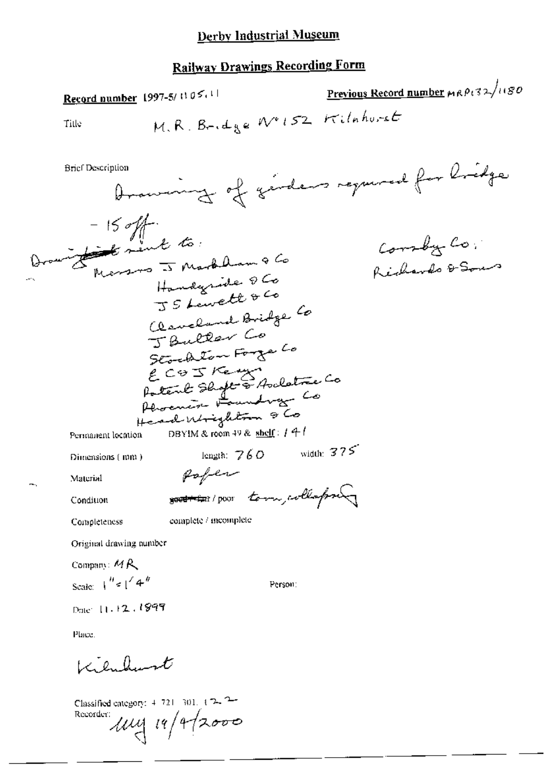# **Railway Drawings Recording Form**

Previous Record number MRP132/1180 Record number 1997-5/1105.11 M.R. Bridge Nº152 Kilahorst Title Drawing of girdens required for bridge **Brief Description** - 15 off. Corsby Co. Marsons -5 Markham & Co Richardo & Sons Handyride Q Co JS Lewett & Co Claveland Bridge Co Scored Jon Forge Co<br>ECO I Keny<br>Potent Shoft & Arclatice Co<br>Perocurist Foundway Co Head Mighton & Co DBYIM & room 49 & shelf:  $1 + l$ Permanent location length:  $760$  width:  $375$ Dimensions (mm) Rofer Material souther poor tom, collapse Condition complete / incomplete Completeness Original drawing number Company:  $MR$ Scale:  $\int_0^h \epsilon \int_0^f 4^{-h}$ Person: Date: 11.12.1999 Place. Kilulunt

Classified category:  $4, 721, 301, 4, 72, 72$ Recorder: 114/1/2000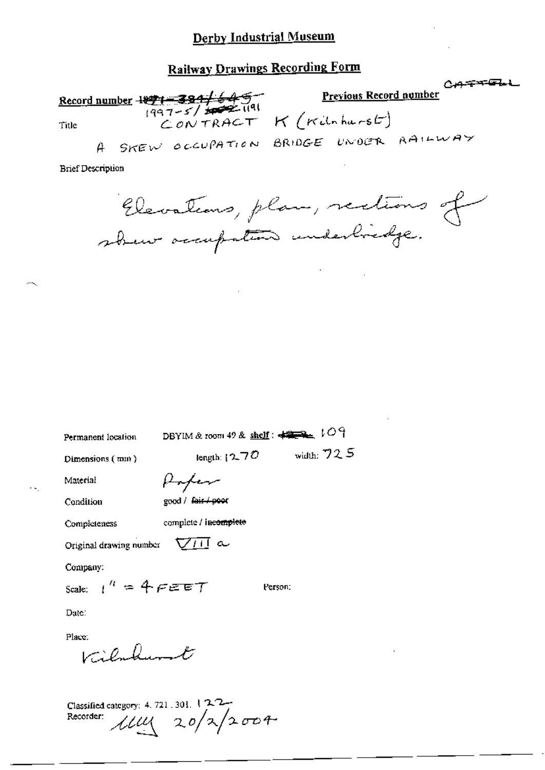# **Railway Drawings Recording Form**

 $C + T + F + F$ **Previous Record number** Record number  $\frac{1899 - 384}{1997 - 5}$   $\frac{64}{191}$ CONTRACT K (Kilchurst) Title SKEW OCCUPATION BRIDGE UNDER RAILWAY  $\theta$ 

**Brief Description** 

Elevations, plan, rections of shew accupation underliedge.

DBYIM & room 49 & shelf:  $\leftarrow 109$ Permanent location

Dimensions (mm)

length:  $270$  width:  $725$ Poper

Condition

Material

good / fair / poor

Completeness

 $\nabla\Pi$  a Original drawing number

complete / incomplete

Company:

Scale:  $1^h = 4$   $F \in F$ 

Person:

Date:

Place.

Vilalunt

Classified category: 4, 721, 301, 122-Recorder:  $\mu$ uy 20/2/2004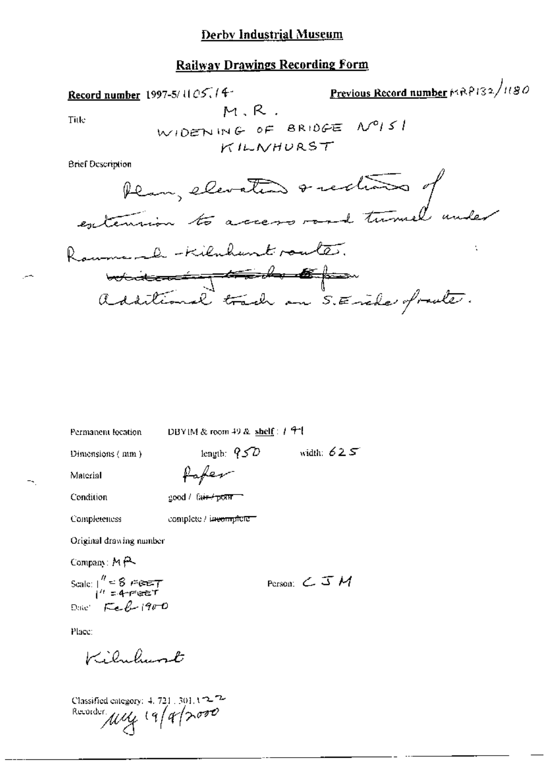## **Railway Drawings Recording Form**

Permanent location

DBYIM & room 49 & shelf:  $1.9$ <sup>-1</sup>.

Dimensions (mm)

length:  $\sqrt[3]{2}$  width:  $625$ 

Material

--

Paper

Condition

good / fair / pow

Completeness complete / incomplete-

Original drawing number

Company:  $M \rightarrow \infty$ 

Scale:  $\frac{n}{1} = 8$  *FGET* Date  $FeB-1900$ 

Person:  $C \mathcal{I} M$ 

Place:

Kiluhunt

Classified category: 4.721.301.122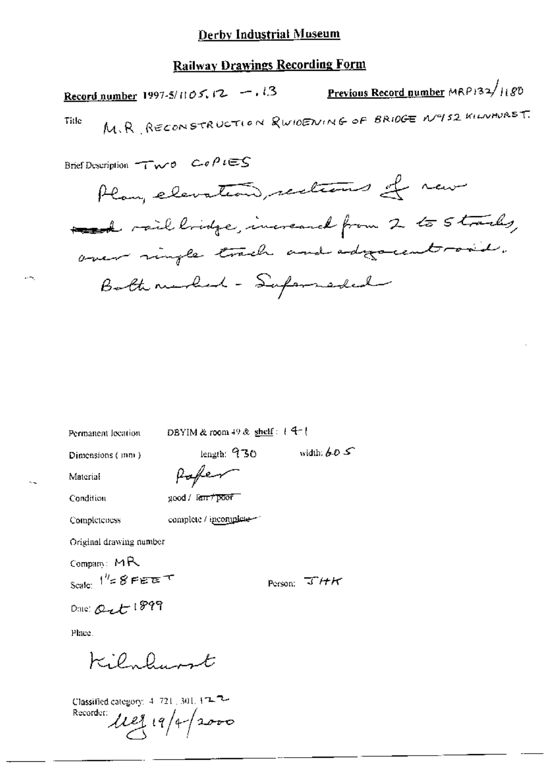## **Railway Drawings Recording Form**

Previous Record number MRP132/1180 Record number 1997-5/1105, 12 -, 13 M.R RECONSTRUCTION & WIDENING OF BRIDGE Nº152 KILMAURST. Title

Brief Description  $\tau\bar{\tau}_{\mathbf{w}}$  o  $\cos \rho i \in \mathcal{S}$ 

Plan, elevation, rections of new med rail longe, increased from 2 to 5 tracks, over ringle trach and adjournt road. Both murled - Supermedial

Permanent lecation

DBYIM & room 49 & shelf:  $+4$ <sup>-1</sup>

length:  $930$ 

Dimensions (mm)

width:  $6.0 \leq$ 

Material Condition

 $\mathrm{good}/\mathrm{~I}$ an  $\tau$ poor $\tau$ 

Completeness

complete / incomplete-

Pafer

Original drawing number

Company:  $MR$ Scale:  $1^{H}$ = 8 FEET

Person:  $T/HH$ 

Date: Out 1899

Place.

Kilmhumt

Classified category: 4-721, 301, 122 Recorder: 1129 19/4/2000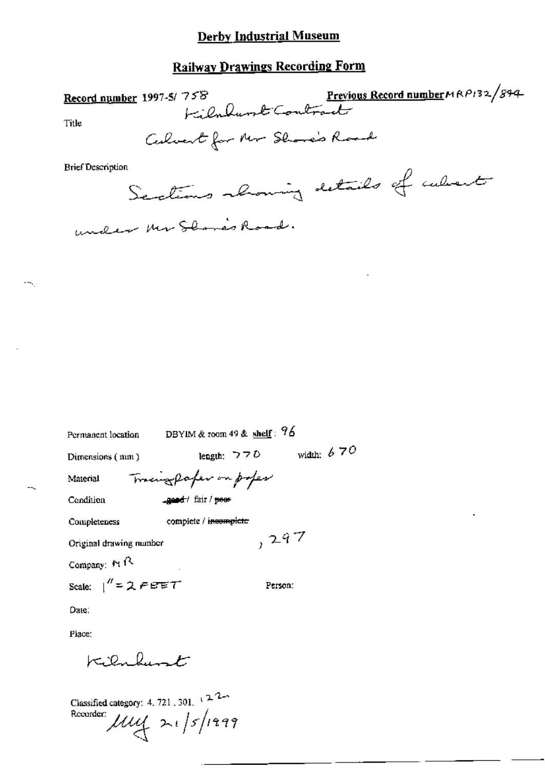## **Railway Drawings Recording Form**

758 Previous Record number MAP132/894 Record number 1997-5/758 Title Calvert for Mr Showe's Road **Brief Description** Sections showing details of culvert under Mr. Shower Road.

| Permanent location         | DBYIM & room 49 & shelf: $96$ |              |
|----------------------------|-------------------------------|--------------|
| Dimensions (mm)            | length: $770$                 | width: $670$ |
| Material                   | Tracingpofer on poper         |              |
| Condition                  | gest/ fair / peer             |              |
| Completeness               | complete / incomplete         |              |
| Original drawing number    |                               | ,297         |
| Company: $M \sim$          |                               |              |
| Scale: $1'' = 2$ $F \in T$ |                               | Person:      |
| Date:                      |                               |              |

Place:

cm.

 $k$ ilnhunt

Classified category: 4, 721, 301,  $\sqrt{2}$ Recorder:  $\mu$ uy 21/5/1999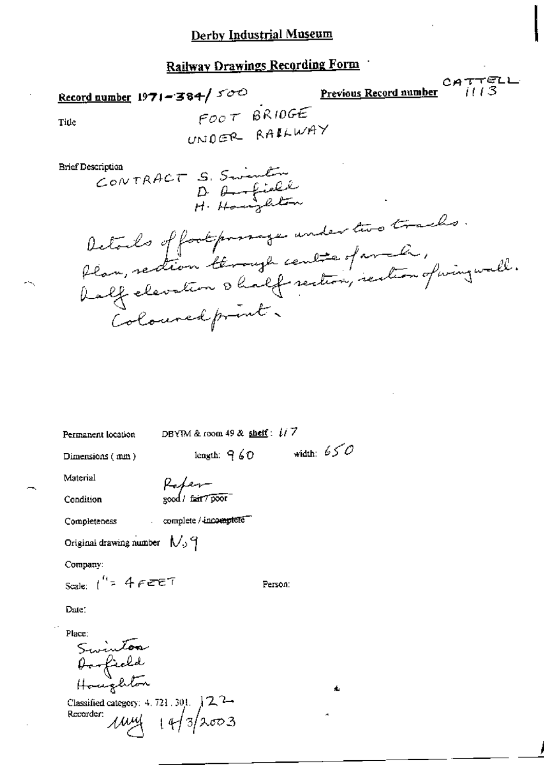# Railway Drawings Recording Form

Record number  $1971 - 384 / 500$ 

Previous Record number

 $CATTELL$ <br> $113$ 

Title

FOOT BRIDGE UNDER RAILWAY

**Brief Description** 

CONTRACT S. Swinter

betoils of footpoonage under two tracks.<br>Plan, rection térough centre of archiv,<br>balf elevation & half rection, rection of wing wall. Coloured print.

DBYIM & room 49 & shelf:  $1/7$ length:  $960$  width:  $650$ Dimensions (mm) Material Paper-<br>good/fair70000 Condition complete / incomplete Completeness Original drawing number  $N_2$   $\gamma$ 

Company:

Permanent location

Scale:  $1^{n}$  = 4 FEET

Date:

Place: ac<br>Swinton<br>Houghton

Classified category: 4.721.301.  $12^2$ <br>Recorder:  $14/3$ 

Person: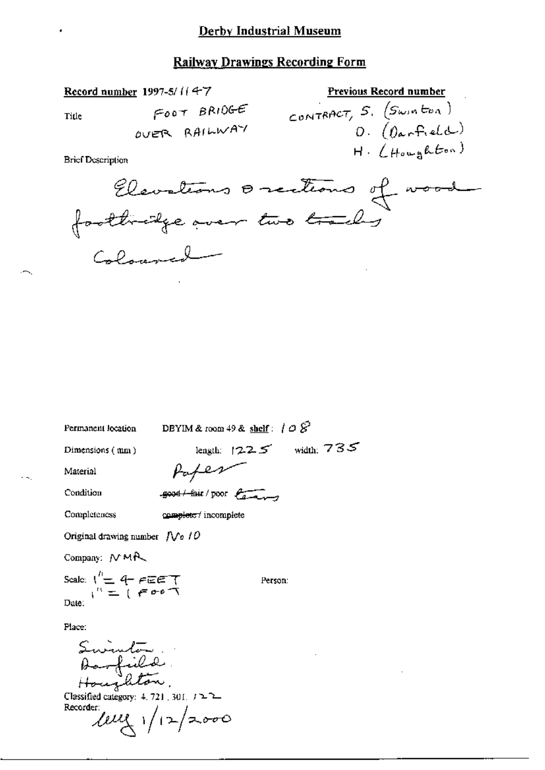### **Railway Drawings Recording Form**

Title

 $F^{oot}$  BRIDGE OVER RAILWAY

**Brief Description** 

Record number 1997-5/114-7

CONTRACT,  $S$ .  $(S_{win}tan)$ <br>O.  $(b_{arr}Rate)$  $H.$  (Houghton)

Previous Record number

Permanent location

DBYIM & room 49 & shelf:  $\theta \circ \mathcal{S}$ 

Dimensions (mm)

length:  $1225$  width:  $735$ 

Material

Paper

 $-$ good  $+$ fair / poor  $\sqrt{a-a}$ 

Completeness

Condition

complete / incomplete

Original drawing number  $\int \sqrt{e} f \mathcal{O}$ 

Company: NMR

Scale:  $\sqrt{\frac{n}{m}}$  4 FEET Date:

Person:

Place:

Swinter<br>Aarfield<br>Houghton, Classified category: 4, 721, 301,  $J \ge 2$ Recorder  $lell_1 / 12 / 2000$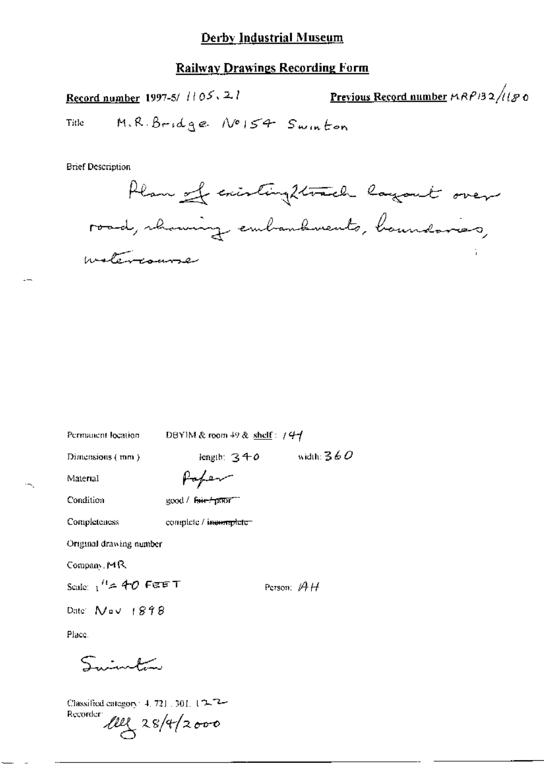Previous Record number MRP132/1180 Record number 1997-5/ //05, 2/ M.R. Bridge No154 Swinton Title

**Brief Description** 

Plan of cristing 2 track layout over road, rhaming embandements, banndaries, motercourse

| Permanent location                         | DBYIM & room $49$ & shelf: $144$ |                |
|--------------------------------------------|----------------------------------|----------------|
| Dimensions (mm)                            | length: $340$                    | width: $360\,$ |
| Material                                   | Popen                            |                |
| Condition                                  | $good /$ fair- $f$ ptur $f^{-1}$ |                |
| Completeness                               | complete / incomplete-           |                |
| Original drawing number                    |                                  |                |
| Company 14R                                |                                  |                |
| Scale: $1$ <sup>11</sup> $\approx$ 40 FEET |                                  | Person: $AH$   |
| Date: $N = 1898$                           |                                  |                |
| Place.                                     |                                  |                |
| ببقمية بالمستعمل                           |                                  |                |

Classified category 4, 721, 301,  $12.7$ 

Recorder  $\ell \ell \ell \sqrt{28/4}/2000$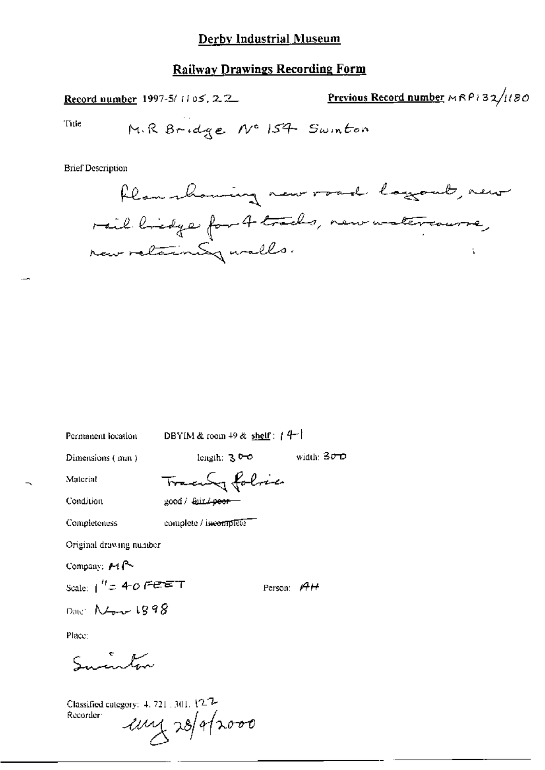Previous Record number MRP132/1180 Record number 1997-5/1105, 2.2. Title M.R Bridge No 154 Swinton

**Brief Description** 



Permanent location

DBYIM & room  $+9$  & shelf:  $+4$ <sup>-1</sup>

Dimensions (mm)

length:  $300$ 

Tracenty folice

Condition

Completeness

Material

good / Gurlpoor

complete / incomplete

Original drawing number

Company:  $\mathcal{M}$   $\sim$ 

Scale:  $1'' = 40$  FEET

Person:  $AH$ 

width:  $30D$ 

Date:  $N_{\text{max}}$  1898

Place:

Sucinton

Classified category:  $4, 721, 301, 127$ Recorder:  $\mu$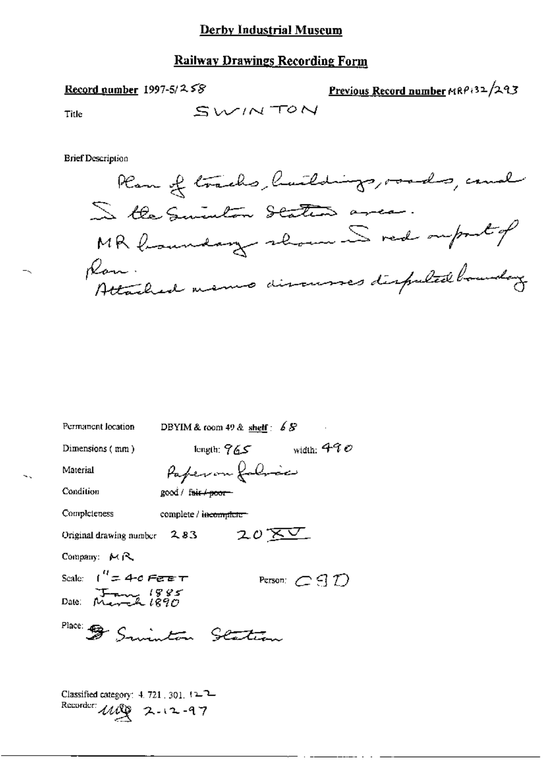#### Record number 1997-5/ $258$

Previous Record number MRP+32/293

Title

SWINTON

**Brief Description** 



| DBYIM & room 49 & shelf: $68$<br>Permanent location  |
|------------------------------------------------------|
| width: $490\,$<br>Dimensions (mm)<br>length: $765$   |
| Paperon folioce<br>Material                          |
| Condition<br>good / fair / poor-                     |
| Completeness<br>complete / incomplete -              |
| 20 <u>XV</u><br>Original drawing number $2.83$       |
| Company: $M \mathcal{R}$                             |
| Scale: $1'' = 4$ -0 Fere $\tau$<br>Person: $C$ d $D$ |
| Date: $M = 1885$                                     |
| Place: 5 Sminton Station                             |
|                                                      |

Classified category: 4, 721, 301,  $12^2$ Recorder:  $\mathcal{U}\mathcal{U}\mathcal{Y}$  2.12.97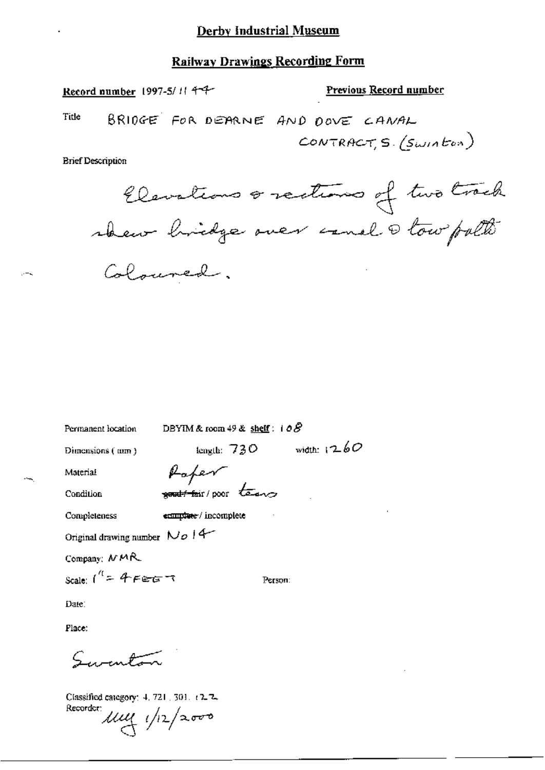Record number 1997-5/11 4-4-

#### Previous Record number

Title BRIDGE FOR DEARNE AND DOVE CANAL CONTRACTS. (Swinton)

**Brief Description** 

 $-1$ 

Elevations orections of two track Coloured.

Permanent location

DBYIM & room 49 & shelf:  $10\%$ 

Dimensions (mm)

length:  $730$  width:  $1260$ 

Material

Condition

Completeness

Raper good four / poor teams

ecomplete / incomplete

Original drawing number  $N$   $\sigma$  | 4

Company;  $MMR$ 

Scale:  $1^{\prime\prime}$  = 4 FEGT

Person:

Date:

Place:

 $\zeta$  , , , , , , , , ,

Classified category: 4, 721, 301, t2-2. Recorder:  $\mu$ uy  $\sqrt{2}/2000$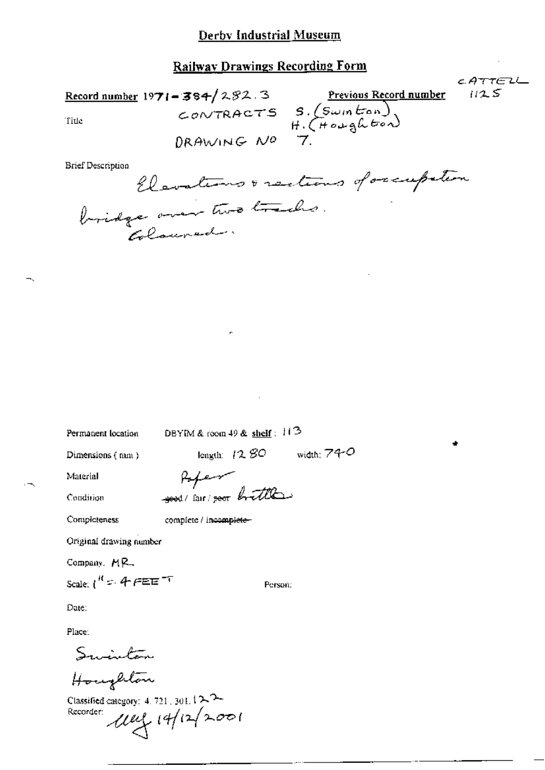CATTELL Record number 1971 - 384/282.3 Previous Record number<br>
CONTRACTS S. (Swin tron)<br>
File<br>
DRAWING NO 7.  $1125$ 

**Brief Description** 

Elevations & rections of occupation

Permanent location

DBYIM & room 49 & shelf:  $11<sup>3</sup>$ 

Dimensions (mm)

length:  $12,80$  width:  $74-0$ 

Material Condition

Poper good/ fair/ good brittle

Completeness

complete / incomplete-

Original drawing number

Company, MR

Scale:  $1^{10}$  =  $4$   $f$   $E$   $E$   $T$ 

Person:

Date:

Place:

Swinton

Houghton

Classified category: 4, 721, 301, 1 $\sim$   $\sim$  $100 - 14122001$ Recorder: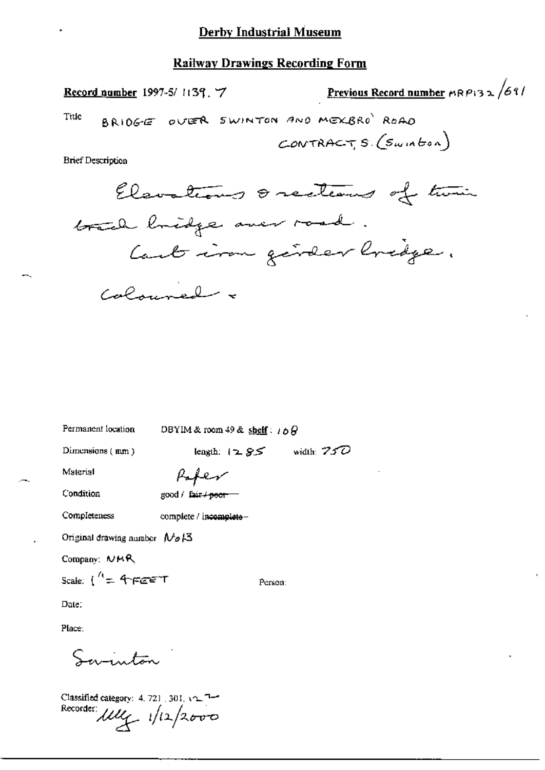Record number 1997-5/1139, 7

Previous Record number  $\kappa$ P132/69/

BRIDGE OVER SWINTON AND MEXBRO ROAD Title

CONTRACTS  $(Sumbon)$ 

**Brief Description** 

Elevations & recleans of time brack loridge over road. Cant iron génder bridge. Calminal -

Permanent location

DBYIM & room 49 & shelf:  $16\theta$ 

Dimensions  $(mn)$ 

length:  $12.85$  width: 750

Material

Condition

Completeness

Paper good / fair / peor

complete / incomplete-

Original drawing number  $N_0/3$ 

Company: NMR

Scale:  $\int_{0}^{R} = 4\pi e^{\frac{1}{2}x}$ 

Person:

Date:

Place:

Samuton

Classified category: 4, 721 [301]  $\sqrt{2}$ Recorder: My 1/12/2000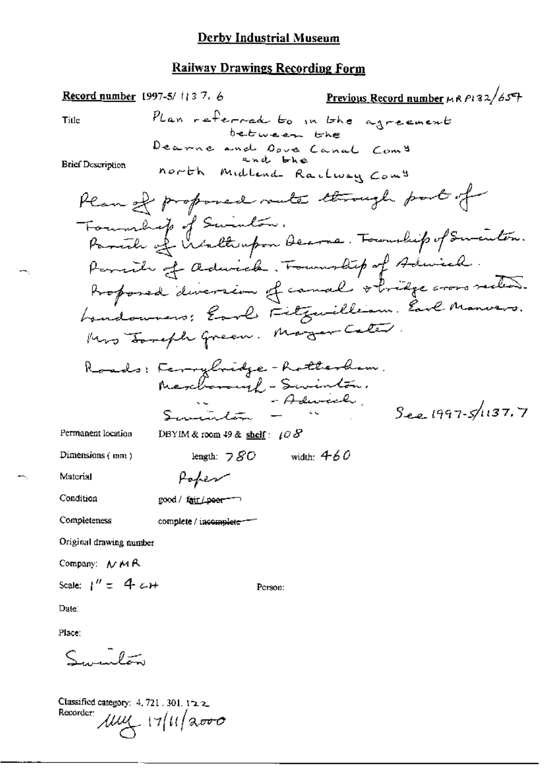Previous Record number  $\mu$  R  $\mu$  32/65+ Record number 1997-5/1137.6 Plan referred to in the agreement Title  $bebween be be$ Dearne and Opve Canal Com<sup>9</sup> and bhe **Brief Description** north Midland Railway Com" Plan of proposed rate through port of Forumbig of Swinton.<br>Parish of Waltempon Decree. Fournhip of Sminton. Parent of advices. Township of Adviced. Proposed diversion of canal obvidge cross suction. hundowners: Earl Fitzwilliam. Earl Manvers. Mrs Joseph Green. Magar Caler. Roads: Ferrybridge-Rotterham. Merchanough - Servinton.  $S_{22}$   $1997 - 5/1137.7$ Permanent location DBYIM & room 49 & shelf:  $108$ length:  $780$  width:  $460$ Dimensions (mm) Material Poper Condition good / fair / peer<sup>-----</sup> Completeness complete / incomplete-Original drawing number Company: MMR Scale:  $1'' = 4cH$ Person: Date: Place:

يستدلون

Classified category:  $4.721.301.122$ Recorder  $\mu$  $\mu$   $\rightarrow$  17/11/2000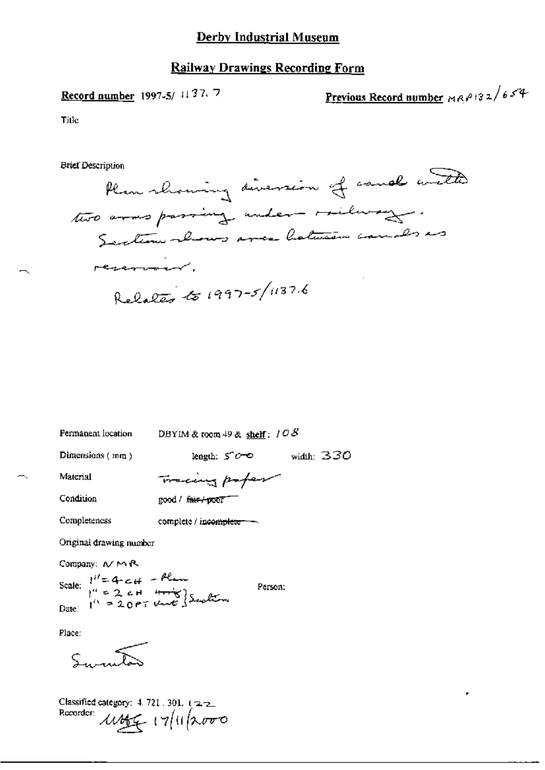### **Railway Drawings Recording Form**

## Record number 1997-5/ 1137.7

Previous Record number  $MRP132/654$ 

Title

**Brief Description** 

Plan rhowing diversion of cause with two arms passing under milway. Sections shows area batween causes as revenuent. Relates to 1997-5/1137.6

Permanent location

DBYIM & room 49 & shelf:  $108$ 

Dimensions  $(mn)$ 

length:  $5^{\circ}$  o width: 330

Material Condition

Tracing poper good / fair / poor

Completeness

complete / incomplete -

Original drawing number

Company: N MR

Scale:  $1^{i} = 4 - c + 4$ <br>  $1^{i} = 2 + 4 + \frac{10}{2}$ <br>
Date:  $1^{i} = 20 + \frac{10 + 4}{2}$ <br>
Date: Person:

Place:

Classified category:  $4.721.301.122$ Recorder:  $\mu$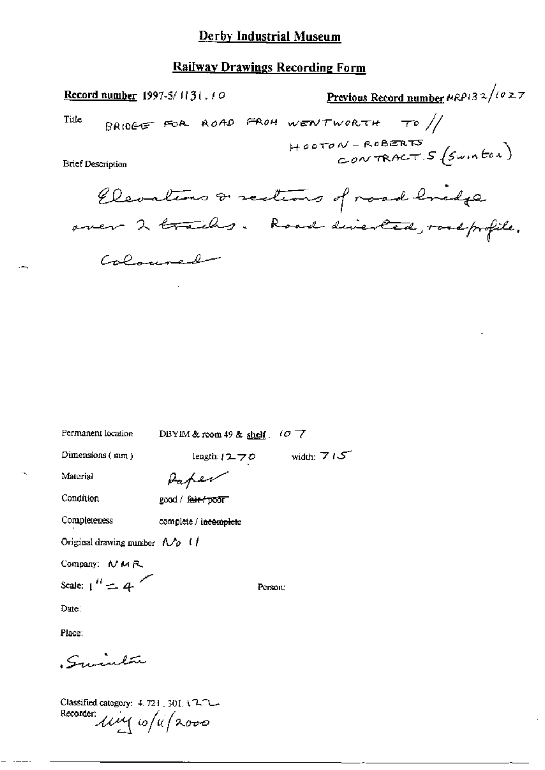### **Railway Drawings Recording Form**

Previous Record number  $\kappa$ RP132/1027 Record number 1997-5/1131.10 BRIDGE FOR ROAD FROM WENTWORTH TO  $\frac{1}{2}$ Title  $H\text{oorov-RoBERTS}$ <br>CONTRACT S  $(s_{\text{wn}}\text{for})$ **Brief Description** Elevations & sections of road bridge over 2 trailes. Road diverted, roadprofile. Coloninado

Permanent location

DBYIM & room 49 & shelf.  $107$ 

Dimensions  $(mn)$ 

length: $1270$  width:  $715$ 

Person:

Material

Paper good / fair / poor

Condition

Completeness

complete / incomplete

Original drawing number  $\Lambda/\rho$  (

Company: NMR

Scale:  $1^H = 4$ 

Date:

Place:

Sminta

Classified category: 4.721, 301, 17-1-Recorder: live 10/4/2000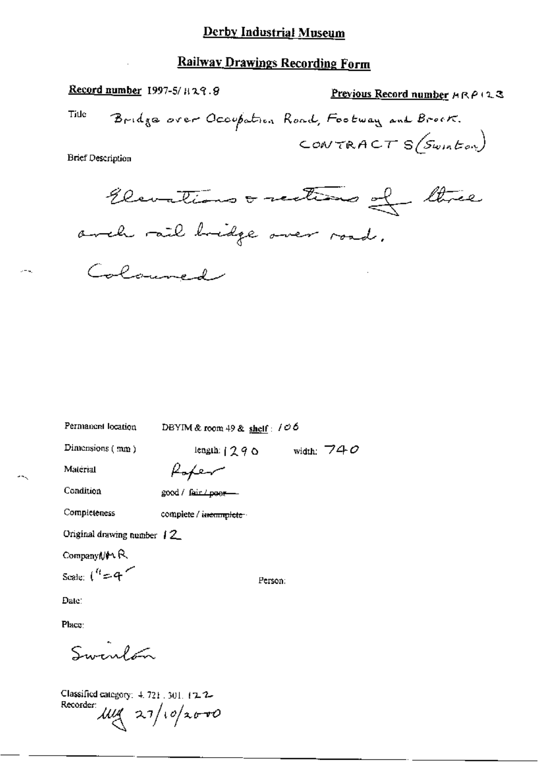Record number 1997-5/H29.8 Previous Record number  $A \cap P$  (2.3) Title Bridge over Occupation Road, Footway and Brook. CONTRACT  $s$ (Swinton) **Brief Description** 

Elevations orections of three arch rail bridge over road. Coloured

Permanent location DBYIM & room 49 & shelf:  $100$ length:  $1290$  width: 740 Dimensions  $(mn)$ Rofer Material Condition good / fair / poor-Completeness complete / incomplete -Original drawing number 12 Company North Scale:  $\binom{n}{r}$  = 4 Person: Date: Place: Swint

Classified category:  $4.721$ , 301, 12.2-Recorder:  $\mu$ ug 27/10/2000

 $-1$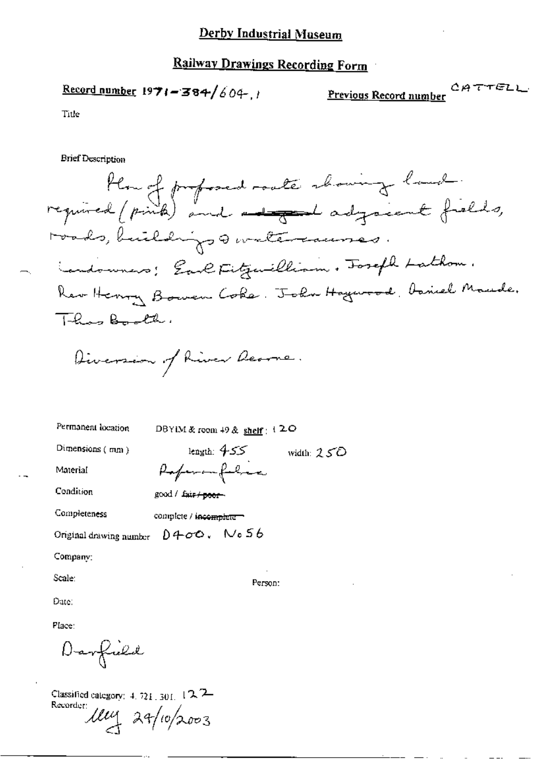## **Railway Drawings Recording Form**

Previous Record number

Title

**Brief Description** 

Plan of profosed roate showing land.<br>required (pink) and advant adjoint fields, roads, buildings of watercauses Landowners; Earl Fitzwilliam. Fosefl Lathom. Rev Henry Bowen Coke. John Haywood, baniel Maude. These Booth.

width:  $25D$ 

Diversion of River Rearne.

good / fair / poor-

Permanent location

DBYIM & room 49 & shelf :  $120$ 

Person:

Dimensions (mm)

length:  $455^\circ$ Paperon folice

Condition

Material

Completeness complete / incomplete =

D400. No56 Original drawing number

Company:

Scale:

Date:

Place:

Darfuld

Classified category:  $4.721.301.12.7$ Recorder 114 29/10/2003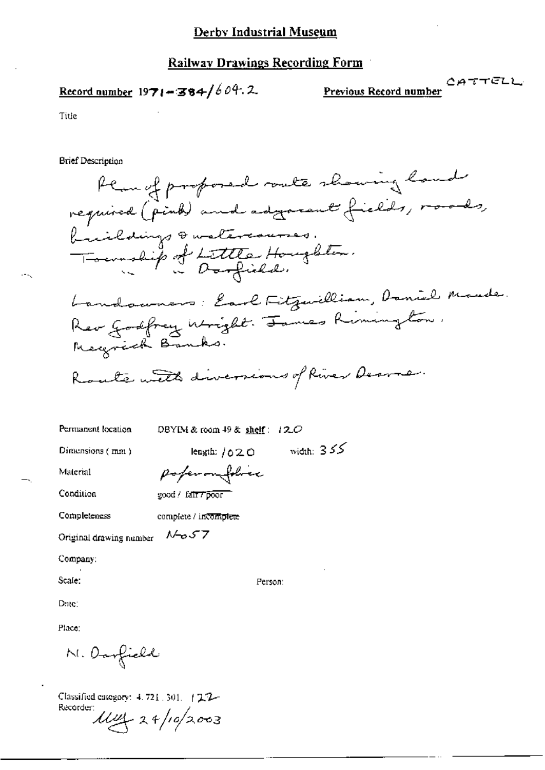## Record number  $1971 - 384/604.2$

**Previous Record number**  $CATTELL$ 

Title

**Brief Description** 

Plan of proposed route showing hand required (pind) and adjournt fields, roads, buildings & watercourses. Township of Lettle Houghton. Landowners: Earl Fitzwilliam, Daniel Made. Rev Godfrey Wright. James Rimington. Magnick Banks. Route with diversions of River Dermer.

DBYIM & room 49 & shelf: 120

Person:

Dimensions (mm)

Permanent location

length:  $1020$  width:  $355$ 

Material

Condition

poferonfolice good / fair / poor

Completeness

complete / incomplete

7 ک م-۱۸ Original drawing number

Company:

Scale:

Date:

Place:

M. Oarfield

Classified category: 4, 721 , 301. | 2.7-Recorder:  $\mu y_2$  24/10/2003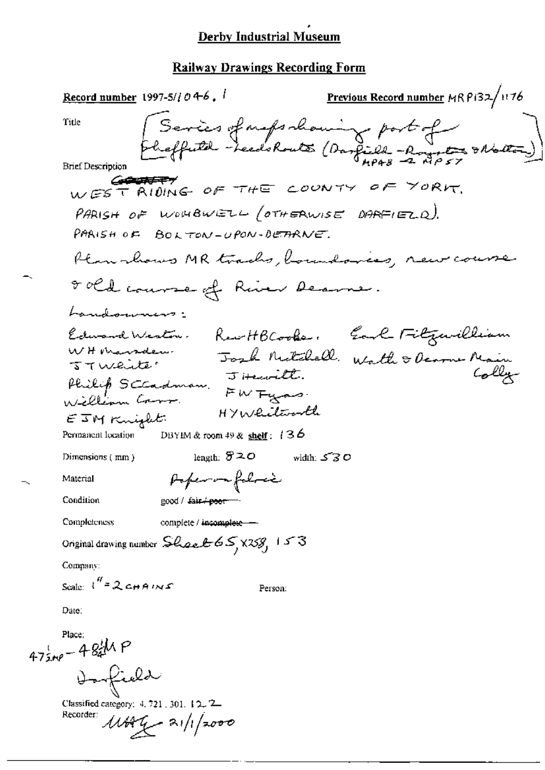**Previous Record number** MR P132/1176 Record number 1997-5/ $1046$ ,  $\frac{1}{2}$ Series of naps chaming part of Title **Brief Description** WEST RIDING OF THE COUNTY OF YORK, PARISH OF WOMBWELL (OTHERWISE DARFIELD). PARISH OF BOLTON-UPON-DETARNE. Plan koms MR tracks, boundaries, new course 8 old course of River Deame. Landounins: Edward Weston. Rew HB Cooker. Earl Fitzuilliam WHMarsdew Josh Mitchell Wath & Denome Main  $J$  iterate. Philip Sceadman. JHewith. HYWliterarth  $ETM$ Knight Permanent location DBYIM & room 49 & shelf:  $136$ length:  $820$ width:  $530$ Dimensions (mm) Popen na folocia Material Condition good / fair poor **Completeness** complete / incomplete -Original drawing number  $\mathcal{L}\left(\mathcal{L}\right)$   $\mathcal{L}\left(\mathcal{L}\right)$   $\mathcal{L}\left(\mathcal{L}\right)$   $\mathcal{L}\left(\mathcal{L}\right)$ Company: Scale  $\int_1^H = 2 \cosh A/\sqrt{s}$ Person: Date:

 $47$ <sub>ime</sub> - 48<sup>1</sup>/h P Darfield

Classified category: 4, 721, 301, 12, 2 Recorder:  $11444 - 31/1/2000$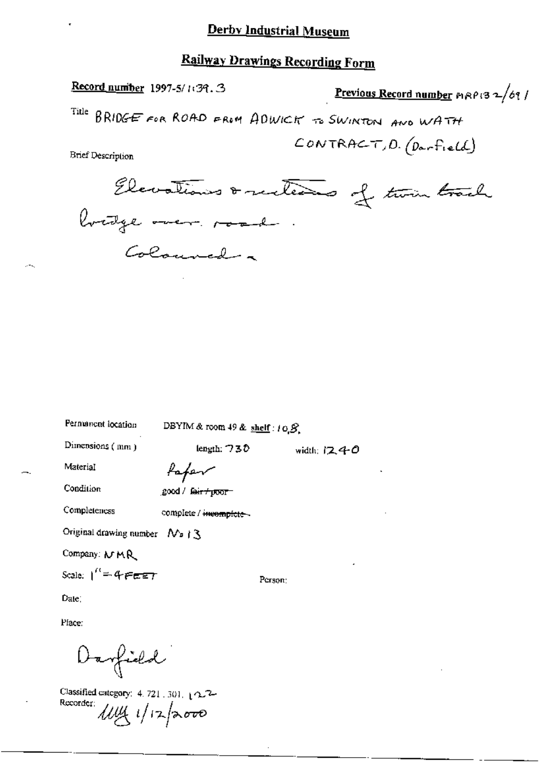# **Railway Drawings Recording Form**

Record number 1997-5/139.3

Previous Record number  $P(32/69)$ 

Title BRIDGE FOR ROAD FROM ADWICK TO SWINTON AND WATH

 $CONTRACT, D. (D - F.eld)$ 

**Brief Description** 

Elevations & sections of two track Coloured a

Permanent location

DBYIM & room 49 & shelf:  $10.8$ .

length:  $730$ 

Dimensions (mm)

fofer

Condition

Material

good / fa<del>ir / poor -</del>

Completeness

complete / incomplete --

Original drawing number  $\Delta$  | 3

Company: MMR

Scale:  $1'' = 477.57$ 

Person:

width:  $1240$ 

Date:

Place:

Darfield

Classified category: 4, 721, 301,  $\sqrt{2}$ Recorder:  $114/17$   $8000$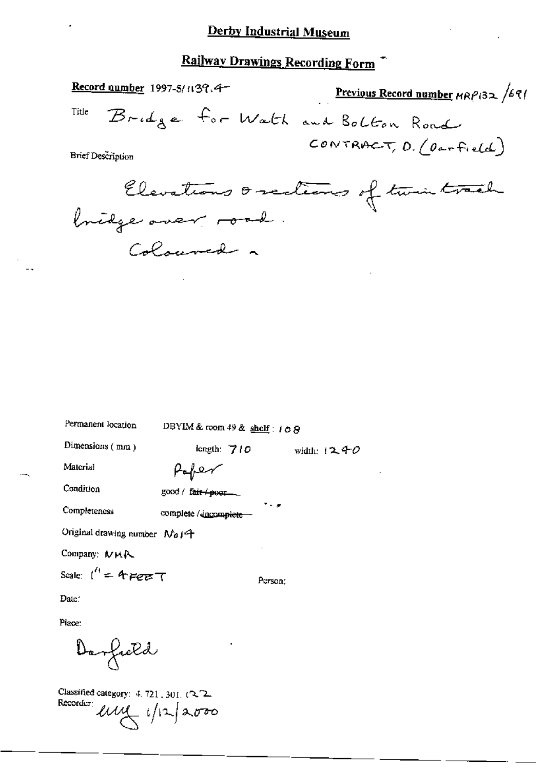# Railway Drawings Recording Form

| Record number 1997-5/1139.4-                       | Previous Record number $HRP(32, 69)$ |
|----------------------------------------------------|--------------------------------------|
| Title<br>Bridge for Watch and Bolton Road          |                                      |
| <b>Brief Description</b>                           | CONTRACT, $0.0$ orfield)             |
| Elevations oscitions of twintrach                  |                                      |
| Colouved ~                                         |                                      |
|                                                    |                                      |
|                                                    |                                      |
|                                                    |                                      |
|                                                    |                                      |
|                                                    |                                      |
| Permanent location<br>DBYIM & room 49 & shelf: 108 |                                      |
| Dimensions (mm)<br>length: $710$                   | width: $1240$                        |
| Material<br>Haper                                  |                                      |

Condition good / fair / poet. م - \* Completeness complete / discomplete --Original drawing number No14 Company: MMA Scale:  $1'' = 4$  Feb T Person: Date:

Place:

Derfield

Classified category:  $4.721$ ,  $301.12$ Recorder en 1/12/2000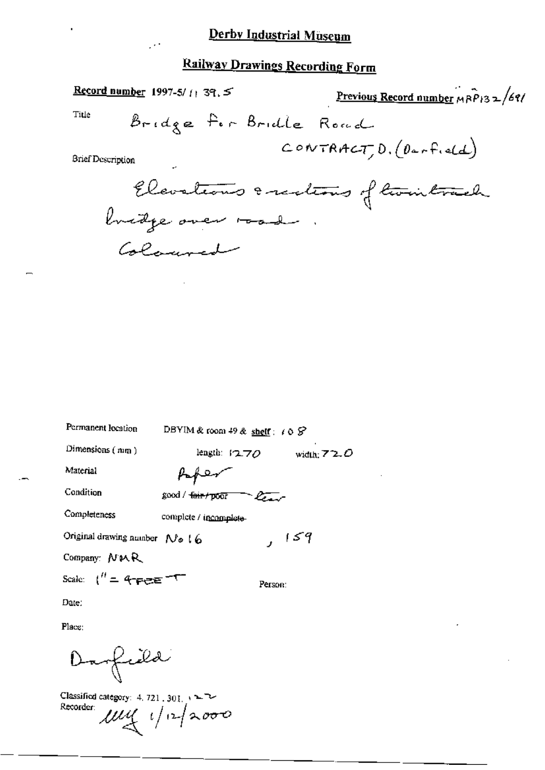$\mathbb{R}^4$ 

# **Railway Drawings Recording Form**

Record number 1997-5/11 39.5 Previous Record number MRP132/69/ Title Bridge for Bridle Road  $convTRACT, D. (DerField)$ **Brief Description** Elevations & realions of twintrach buidge over 1000 Colouved

| Permanent location                                    | DBYIM & room 49 & shelf : $\angle$ 0 $\angle$ |               |
|-------------------------------------------------------|-----------------------------------------------|---------------|
| Dimensions $(mn)$                                     | length: $12.70$                               | width: $72.0$ |
| Material                                              | $\sim$ $\sim$                                 |               |
| Condition                                             | good / fair/poor                              |               |
| Completeness                                          | complete / incomplete-                        |               |
| Original drawing number $N_0$ (6                      |                                               | 159           |
| Company: NMR                                          |                                               |               |
| Scale: $\binom{n}{k} = 4 - \frac{1}{2} = \frac{1}{2}$ | Person:                                       |               |

Date:

 $\mathbf{r}$ 

Place:

Darfield

Classified category: 4, 721, 301, 12 Recorder:  $\mu$ uy  $1/12$ 2000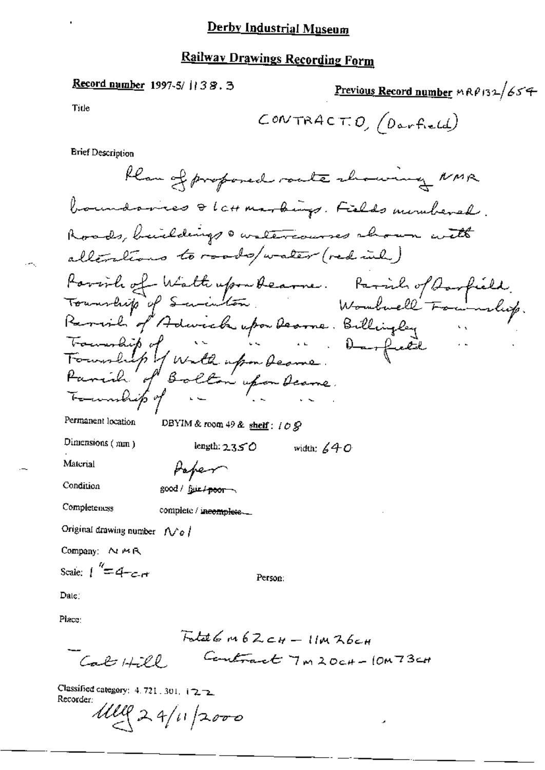## **Railway Drawings Recording Form**

#### Record number 1997-5/1138.3

Previous Record number  $nR\theta$ 132/654

Title

 $COMTRACT.0, (Darfield)$ 

**Brief Description** 

Klan of proposed route chowing NMR boundaries & Latt markings. Fields mombered. Roads, buildings a watercourses aboun with alterations to roads/water (red inh) Parish of Watterformbearne. Parish of Aarfield.<br>Township of Savinton Would Foundly.<br>Remarkip of Adwick upon Dearne. Billingley ... Permanent location DBYIM & room 49 & shelf:  $109$ Dimensions (mm) length:  $2350$ width:  $640$ Material Hoper Condition good / fair / poor Completeness complete / incomplete. Original drawing number  $\sqrt{\delta}$ Company: NMR Scale:  $\int_{0}^{\pi/2} = 4 - c$ Person: Date: Place:  $Fntat6m6Zc+11mR6c+$ 

Contract 7m20c+-10m73c+ Cab Hill

Classified category:  $4.721.301$ ,  $i \rightarrow \rightarrow$ Recorder:

 $1119224/11/2000$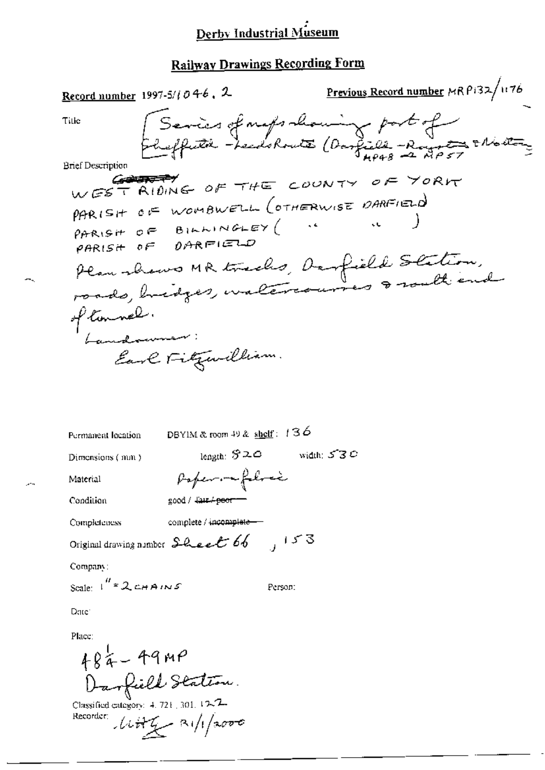# **Railway Drawings Recording Form**

Previous Record number MR P132/1176 Record number 1997-5/1046, 2 Sevies of maps channing port of Title Brief Description WEST RIDING OF THE COUNTY OF YORK PARISH OF WOMBWELL (OTHERWISE DARFIELD) PARISH OF BILLINGLEY (  $\mathcal{L}(\mathbf{C})$ Plan shows MR tracks, Darfield Station, of timmel. Earl Fitzwilliam.

Person:

DBYIM & room 49 & shelf:  $136$ Permanent location length:  $$20$ width:  $5.3C$ Dimensions (mm) Paper me feloci Material  $good /$   $44 + 980$ Condition Completeness complete / incomplete-

Original drawing number  $\mathcal{L}$  Lee  $\mathcal{E}$  66 (153)

Company:

Scale:  $1^{H}$  = 2 CHAINS

Date<sup>®</sup>

Place:

 $484 - 49$ MP Darfield Station.

Classified category: 4, 721, 301, 12-7- $1177 - 81/12000$ Recorder: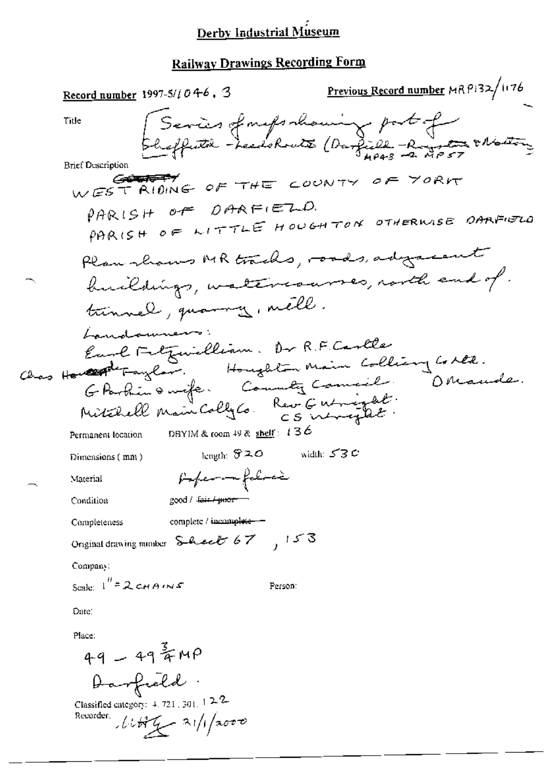# **Railway Drawings Recording Form**

| <u>Record number</u> 1997-5/ <i>i</i> 0 4-6 , 3                     | Previous Record number MRP132/1176 |
|---------------------------------------------------------------------|------------------------------------|
| Title                                                               | Series of maps showing part of     |
| <b>Brief Description</b>                                            |                                    |
| WEST RIDING OF THE COUNTY OF YORK                                   |                                    |
| PARISH OF DARFIELD.<br>PARISH OF LITTLE HOUGHTON OTHERWISE OARFIELD |                                    |
| Plan shows MR tracks, roads, adgressment                            |                                    |
| buildings, watercourses, north and of.                              |                                    |
| tunnel, quanny, mell.                                               |                                    |
| Landauners                                                          |                                    |
| Euge Fetzwicklim. Dr R.F. Cartles                                   |                                    |
| Chas Howard Faylor. Houghton Main Colliany Collect.                 |                                    |
| G Partin & wife. County Commeil.                                    |                                    |
| Mitchell Main Colly Co. Rev Gutigat.                                |                                    |
| DBYIM & room $49$ & shelf: 136<br>Permanent location                |                                    |
| length: 820<br>Dimensions (mm)                                      | width: $530$                       |
| faferan falres<br>Material                                          |                                    |
| Condition<br>200d / <del>Juin / puor</del>                          |                                    |
| complete / incomplete-<br>Completeness                              |                                    |
| Original drawing number Sheet 67, 153                               |                                    |
| Company:                                                            |                                    |
| Scale: $I'' = 2$ CHAINS<br>Person:                                  |                                    |
| Date:                                                               |                                    |
| Place:                                                              |                                    |
|                                                                     |                                    |
| 49 - 49 FMP<br>Darfreld                                             |                                    |
| Classified category: $4.721$ , 301, $122$                           |                                    |
| Recorder,<br>$11449 - 31/1/3000$                                    |                                    |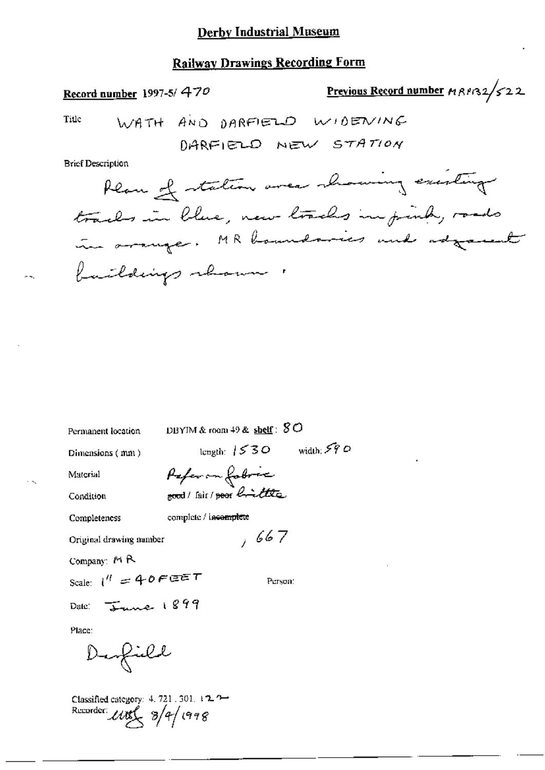## **Railway Drawings Recording Form**

Previous Record number 198132/522

Title

WATH AND DARFIELD WIDENING DARFIELD NEW STATION

**Brief Description** 

Record number 1997-5/470

Plan of station area showing existing tracks in blue, new tracks in pink, roads in arrange. MR hamdonics and adjournt buildings shown  $\mathbb{R}^n$ 

| Permanent location                                                                             | DBYIM & room $49$ & $\frac{\text{shelf}}{2}$ : $8$ O |  |
|------------------------------------------------------------------------------------------------|------------------------------------------------------|--|
| Dimensions (mm)                                                                                | length: $1530$ width: $590$                          |  |
| Material                                                                                       | Paper on fobres                                      |  |
| Condition                                                                                      | good/fair/goor localitie.                            |  |
| Completeness                                                                                   | complete / incomplete                                |  |
| Original drawing number                                                                        | ,667                                                 |  |
| Company: $M R$                                                                                 |                                                      |  |
| Scale: $1'' = 40F$ $EET$                                                                       | Person:                                              |  |
| Date: $\frac{1899}{2}$                                                                         |                                                      |  |
| Place:                                                                                         |                                                      |  |
| Denfield                                                                                       |                                                      |  |
| Classified category: 4, 721, 301, 122<br>Recorder: $\mathcal{U}\mathcal{B}\left(8\right)$ (998 |                                                      |  |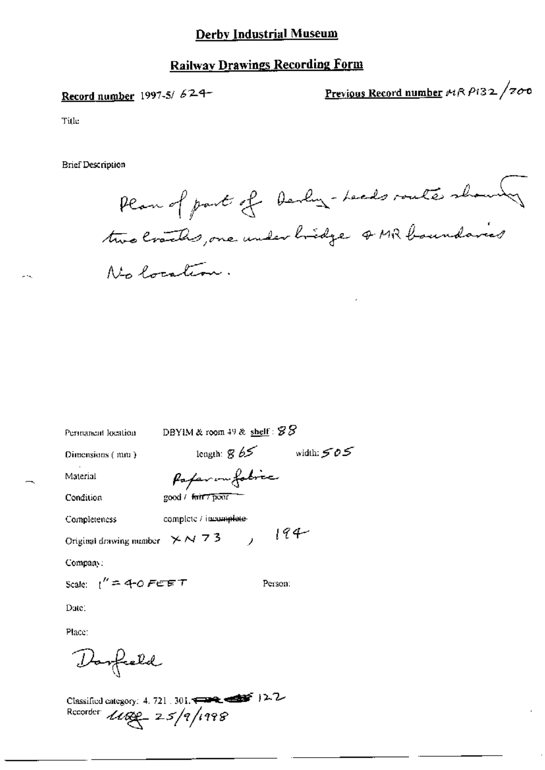## **Railway Drawings Recording Form**

## Record number 1997-5/624-

<u>Previous Record number</u> 14R P132 /700

Title

**Brief Description** 

Permanent location

Plan of part of Derlin - Leads route shows two craches, one under hidge of MR boundaries Nin Porcation.

length:  $865$  width:  $505$ Dimensions (mm) Paparonfobric Material good / fair 7 poor Condition Completeness complete / incomplete- $194$ Original drawing number  $\times N$  7 3  $\rightarrow$ Company; Scale:  $1'' = 4-0$  FEET Person: Date: Place: Dorfield

DBYIM & room 49 & shelf:  $88$ 

Classified category: 4, 721, 301,  $\leftarrow$   $\leftarrow$   $\leftarrow$  12.2 Recorder  $1182 - 25/9/1998$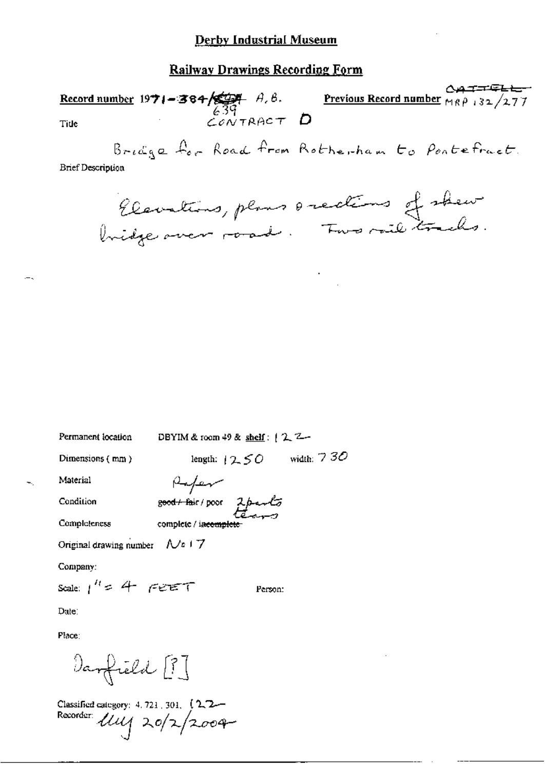**Record number 1971-384/2004** A, B.<br>Tide  $\frac{639}{600}$ **Previous Record number**  $M_1 \rho$  132/277 Tide Bridge for Road from Rotherham to Pontefract. **Brief Description** Elevations, plans orections of shew

DBYIM & room 49 & shelf:  $2^2$ -Permanent location

Dimensions (mm)

length:  $12.50$  width:  $730$ 

Refer

complete / incomple

good + fair / poor 2 parts

Condition

Material

Completeness

Original drawing number  $\sqrt{a} + 7$ 

Company:

Scale:  $1^{H}$  = 4 FEET Person:

Date:

Place:

Danfield [?]

Classified category: 4, 721, 301, (2, 2-Recorder  $\hat{u}u_1$  20/2/2004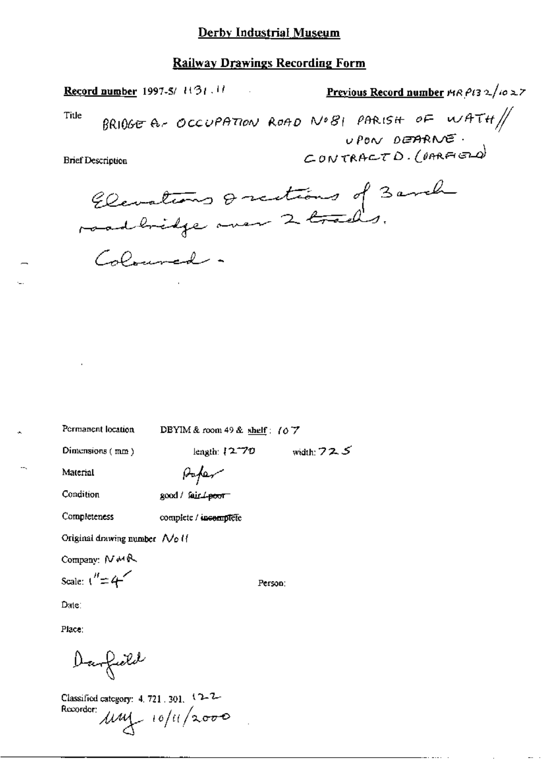#### **Railway Drawings Recording Form**

Previous Record number  $\mu$ R Pt3 2/10 27 Record number 1997-5/ 1131.11 BRIOGE A- OCCUPATION ROAD NO81 PARISH OF WATH $\#$ Title UPON DEARNE. CONTRACTD. ( $n$ RAGD) **Brief Description** Elevations & rections of 3 anch

Coloured.

Permanent location

DBYIM & room 49 & shelf: (07

Dimensions (mm)

length:  $(2.70$  width:  $72.5$ 

Material

Condition

Completeness

good / fair 4-poor

Paper

complete / incomplete

Original drawing number No II

Company:  $N M R$ 

Scale:  $\binom{n}{r}$  = 4

Person:

Date:

Place:

Danfield

Classified category: 4, 721, 301, 12-7-Recorder:  $\mu\mu$  10/11/2000